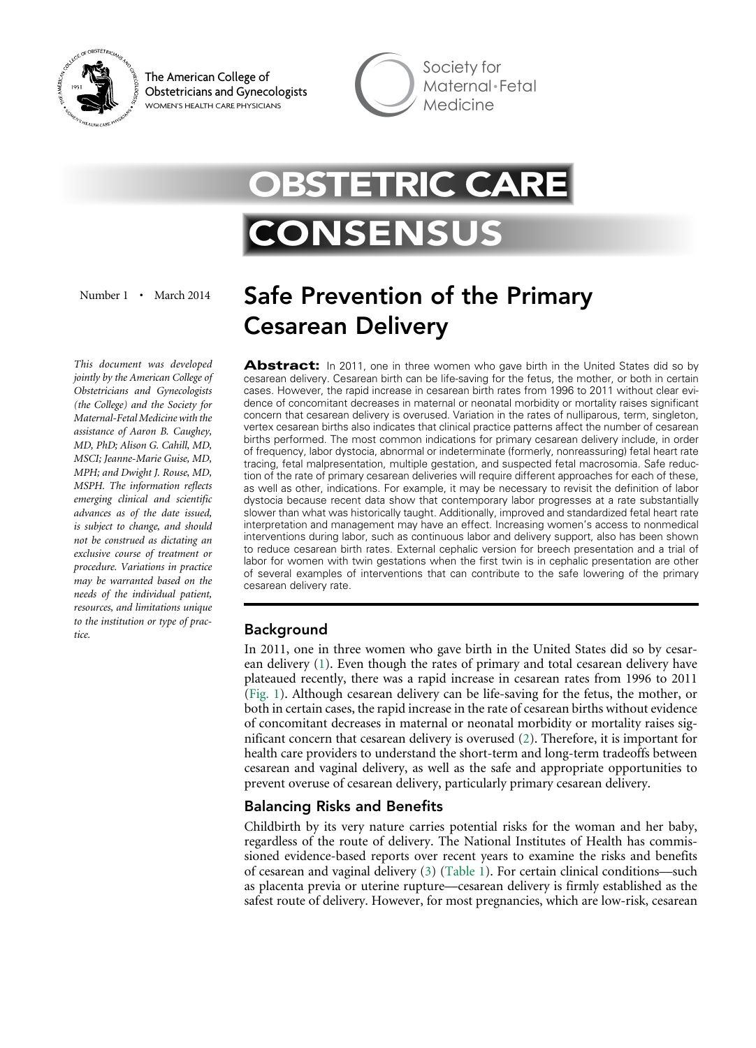

The American College of Obstetricians and Gynecologists WOMEN'S HEALTH CARE PHYSICIANS

Society for Maternal Fetal Medicine

# **STETRIC CARE** CONSENS

Number 1 • March 2014

*This document was developed jointly by the American College of Obstetricians and Gynecologists (the College) and the Society for Maternal-Fetal Medicine with the assistance of Aaron B. Caughey, MD, PhD; Alison G. Cahill, MD, MSCI; Jeanne-Marie Guise, MD, MPH; and Dwight J. Rouse, MD, MSPH. The information reflects emerging clinical and scientific advances as of the date issued, is subject to change, and should not be construed as dictating an exclusive course of treatment or procedure. Variations in practice may be warranted based on the needs of the individual patient, resources, and limitations unique to the institution or type of practice.*

# Safe Prevention of the Primary Cesarean Delivery

**Abstract:** In 2011, one in three women who gave birth in the United States did so by cesarean delivery. Cesarean birth can be life-saving for the fetus, the mother, or both in certain cases. However, the rapid increase in cesarean birth rates from 1996 to 2011 without clear evidence of concomitant decreases in maternal or neonatal morbidity or mortality raises significant concern that cesarean delivery is overused. Variation in the rates of nulliparous, term, singleton, vertex cesarean births also indicates that clinical practice patterns affect the number of cesarean births performed. The most common indications for primary cesarean delivery include, in order of frequency, labor dystocia, abnormal or indeterminate (formerly, nonreassuring) fetal heart rate tracing, fetal malpresentation, multiple gestation, and suspected fetal macrosomia. Safe reduction of the rate of primary cesarean deliveries will require different approaches for each of these, as well as other, indications. For example, it may be necessary to revisit the definition of labor dystocia because recent data show that contemporary labor progresses at a rate substantially slower than what was historically taught. Additionally, improved and standardized fetal heart rate interpretation and management may have an effect. Increasing women's access to nonmedical interventions during labor, such as continuous labor and delivery support, also has been shown to reduce cesarean birth rates. External cephalic version for breech presentation and a trial of labor for women with twin gestations when the first twin is in cephalic presentation are other of several examples of interventions that can contribute to the safe lowering of the primary cesarean delivery rate.

# Background

<span id="page-0-2"></span><span id="page-0-0"></span>In 2011, one in three women who gave birth in the United States did so by cesarean delivery [\(1\)](#page-13-0). Even though the rates of primary and total cesarean delivery have plateaued recently, there was a rapid increase in cesarean rates from 1996 to 2011 [\(Fig. 1\)](#page-1-0). Although cesarean delivery can be life-saving for the fetus, the mother, or both in certain cases, the rapid increase in the rate of cesarean births without evidence of concomitant decreases in maternal or neonatal morbidity or mortality raises significant concern that cesarean delivery is overused [\(2](#page-13-1)). Therefore, it is important for health care providers to understand the short-term and long-term tradeoffs between cesarean and vaginal delivery, as well as the safe and appropriate opportunities to prevent overuse of cesarean delivery, particularly primary cesarean delivery.

# <span id="page-0-3"></span>Balancing Risks and Benefits

<span id="page-0-4"></span><span id="page-0-1"></span>Childbirth by its very nature carries potential risks for the woman and her baby, regardless of the route of delivery. The National Institutes of Health has commissioned evidence-based reports over recent years to examine the risks and benefits of cesarean and vaginal delivery ([3\)](#page-13-2) ([Table 1](#page-2-0)). For certain clinical conditions––such as placenta previa or uterine rupture––cesarean delivery is firmly established as the safest route of delivery. However, for most pregnancies, which are low-risk, cesarean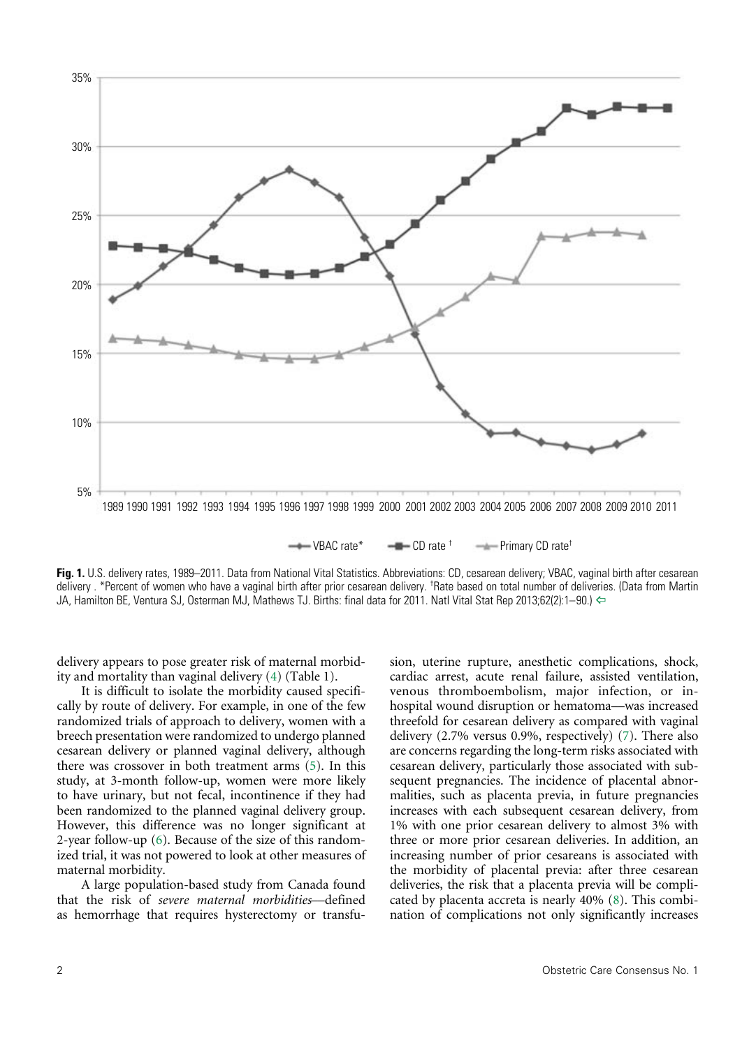<span id="page-1-0"></span>

**Fig. 1.** U.S. delivery rates, 1989–2011. Data from National Vital Statistics. Abbreviations: CD, cesarean delivery; VBAC, vaginal birth after cesarean delivery . \*Percent of women who have a vaginal birth after prior cesarean delivery. <sup>†</sup>Rate based on total number of deliveries. (Data from Martin JA, Hamilton BE, Ventura SJ, Osterman MJ, Mathews TJ. Births: final data for 2011. Natl Vital Stat Rep 2013;62(2):1–90.) [^](#page-0-0)

<span id="page-1-1"></span>delivery appears to pose greater risk of maternal morbidity and mortality than vaginal delivery ([4](#page-13-3)) (Table 1).

<span id="page-1-2"></span>It is difficult to isolate the morbidity caused specifically by route of delivery. For example, in one of the few randomized trials of approach to delivery, women with a breech presentation were randomized to undergo planned cesarean delivery or planned vaginal delivery, although there was crossover in both treatment arms ([5](#page-13-4)). In this study, at 3-month follow-up, women were more likely to have urinary, but not fecal, incontinence if they had been randomized to the planned vaginal delivery group. However, this difference was no longer significant at 2-year follow-up [\(6\)](#page-13-5). Because of the size of this randomized trial, it was not powered to look at other measures of maternal morbidity.

<span id="page-1-3"></span>A large population-based study from Canada found that the risk of *severe maternal morbidities*––defined as hemorrhage that requires hysterectomy or transfu<span id="page-1-5"></span><span id="page-1-4"></span>sion, uterine rupture, anesthetic complications, shock, cardiac arrest, acute renal failure, assisted ventilation, venous thromboembolism, major infection, or inhospital wound disruption or hematoma-was increased threefold for cesarean delivery as compared with vaginal delivery (2.7% versus 0.9%, respectively) ([7\)](#page-13-6). There also are concerns regarding the long-term risks associated with cesarean delivery, particularly those associated with subsequent pregnancies. The incidence of placental abnormalities, such as placenta previa, in future pregnancies increases with each subsequent cesarean delivery, from 1% with one prior cesarean delivery to almost 3% with three or more prior cesarean deliveries. In addition, an increasing number of prior cesareans is associated with the morbidity of placental previa: after three cesarean deliveries, the risk that a placenta previa will be complicated by placenta accreta is nearly 40% ([8](#page-13-7)). This combination of complications not only significantly increases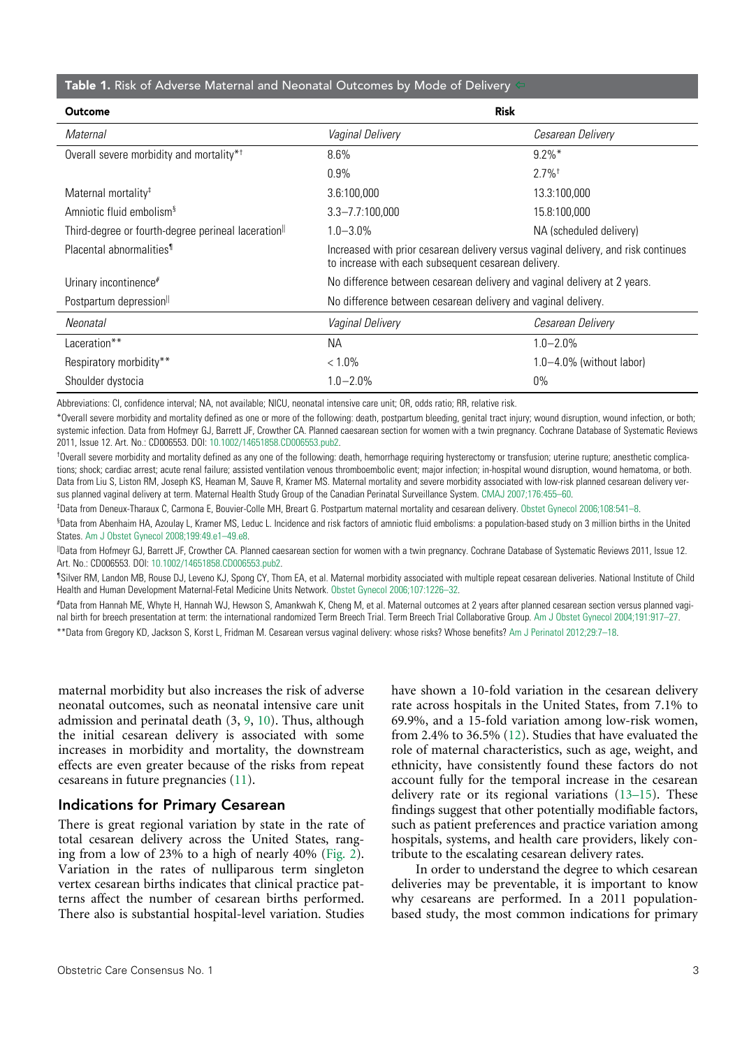#### <span id="page-2-0"></span>Table 1. Risk of Adverse Maternal and Neonatal Outcomes by Mode of Delivery

| <b>Outcome</b>                                                  | <b>Risk</b>                                                                                                                               |                               |  |
|-----------------------------------------------------------------|-------------------------------------------------------------------------------------------------------------------------------------------|-------------------------------|--|
| Maternal                                                        | Vaginal Delivery                                                                                                                          | Cesarean Delivery             |  |
| Overall severe morbidity and mortality* <sup>†</sup>            | 8.6%                                                                                                                                      | $9.2\%$ *                     |  |
|                                                                 | $0.9\%$                                                                                                                                   | $2.7\%$ <sup>†</sup>          |  |
| Maternal mortality <sup>#</sup>                                 | 3.6:100,000                                                                                                                               | 13.3:100,000                  |  |
| Amniotic fluid embolism <sup>§</sup>                            | $3.3 - 7.7:100,000$                                                                                                                       | 15.8:100,000                  |  |
| Third-degree or fourth-degree perineal laceration <sup>  </sup> | $1.0 - 3.0\%$                                                                                                                             | NA (scheduled delivery)       |  |
| Placental abnormalities <sup>1</sup>                            | Increased with prior cesarean delivery versus vaginal delivery, and risk continues<br>to increase with each subsequent cesarean delivery. |                               |  |
| Urinary incontinence <sup>#</sup>                               | No difference between cesarean delivery and vaginal delivery at 2 years.                                                                  |                               |  |
| Postpartum depression                                           | No difference between cesarean delivery and vaginal delivery.                                                                             |                               |  |
| Neonatal                                                        | Vaginal Delivery                                                                                                                          | Cesarean Delivery             |  |
| Laceration**                                                    | NA.                                                                                                                                       | $1.0 - 2.0\%$                 |  |
| Respiratory morbidity**                                         | $< 1.0\%$                                                                                                                                 | $1.0 - 4.0\%$ (without labor) |  |
| Shoulder dystocia                                               | $1.0 - 2.0\%$                                                                                                                             | $0\%$                         |  |

Abbreviations: CI, confidence interval; NA, not available; NICU, neonatal intensive care unit; OR, odds ratio; RR, relative risk.

\*Overall severe morbidity and mortality defined as one or more of the following: death, postpartum bleeding, genital tract injury; wound disruption, wound infection, or both; systemic infection. Data from Hofmeyr GJ, Barrett JF, Crowther CA. Planned caesarean section for women with a twin pregnancy. Cochrane Database of Systematic Reviews 2011, Issue 12. Art. No.: CD006553. DOI: [10.1002/14651858.CD006553.pub2](http://www.ncbi.nlm.nih.gov/pubmed/22161406).

† Overall severe morbidity and mortality defined as any one of the following: death, hemorrhage requiring hysterectomy or transfusion; uterine rupture; anesthetic complications; shock; cardiac arrest; acute renal failure; assisted ventilation venous thromboembolic event; major infection; in-hospital wound disruption, wound hematoma, or both. Data from Liu S, Liston RM, Joseph KS, Heaman M, Sauve R, Kramer MS. Maternal mortality and severe morbidity associated with low-risk planned cesarean delivery versus planned vaginal delivery at term. Maternal Health Study Group of the Canadian Perinatal Surveillance System. [CMAJ 2007;176:455–60.](http://www.ncbi.nlm.nih.gov/pubmed/17296957)

‡ Data from Deneux-Tharaux C, Carmona E, Bouvier-Colle MH, Breart G. Postpartum maternal mortality and cesarean delivery. [Obstet Gynecol 2006;108:541–8.](http://journals.lww.com/greenjournal/Fulltext/2006/09000/Postpartum_Maternal_Mortality_and_Cesarean.12.aspx)

§ Data from Abenhaim HA, Azoulay L, Kramer MS, Leduc L. Incidence and risk factors of amniotic fluid embolisms: a population-based study on 3 million births in the United States. Am J Obstet Gynecol 2008:199:49 e1-49.e8.

||Data from Hofmeyr GJ, Barrett JF, Crowther CA. Planned caesarean section for women with a twin pregnancy. Cochrane Database of Systematic Reviews 2011, Issue 12. Art. No.: CD006553. DOI: [10.1002/14651858.CD006553.pub2](http://www.ncbi.nlm.nih.gov/pubmed/22161406).

¶Silver RM, Landon MB, Rouse DJ, Leveno KJ, Spong CY, Thom EA, et al. Maternal morbidity associated with multiple repeat cesarean deliveries. National Institute of Child Health and Human Development Maternal-Fetal Medicine Units Network. [Obstet Gynecol 2006;107:1226–32](http://journals.lww.com/greenjournal/Fulltext/2006/06000/Maternal_Morbidity_Associated_With_Multiple_Repeat.4.aspx).

# Data from Hannah ME, Whyte H, Hannah WJ, Hewson S, Amankwah K, Cheng M, et al. Maternal outcomes at 2 years after planned cesarean section versus planned vaginal birth for breech presentation at term: the international randomized Term Breech Trial. Term Breech Trial Collaborative Group. [Am J Obstet Gynecol 2004;191:917–27.](http://www.ncbi.nlm.nih.gov/pubmed/15467565)

\*\*Data from Gregory KD, Jackson S, Korst L, Fridman M. Cesarean versus vaginal delivery: whose risks? Whose benefits? [Am J Perinatol 2012;29:7–18](http://www.ncbi.nlm.nih.gov/pubmed/21833896).

<span id="page-2-2"></span>maternal morbidity but also increases the risk of adverse neonatal outcomes, such as neonatal intensive care unit admission and perinatal death (3, [9,](#page-13-10) [10\)](#page-13-11). Thus, although the initial cesarean delivery is associated with some increases in morbidity and mortality, the downstream effects are even greater because of the risks from repeat cesareans in future pregnancies [\(11\)](#page-13-12).

#### <span id="page-2-3"></span>Indications for Primary Cesarean

<span id="page-2-1"></span>There is great regional variation by state in the rate of total cesarean delivery across the United States, ranging from a low of 23% to a high of nearly 40% ([Fig. 2](#page-3-0)). Variation in the rates of nulliparous term singleton vertex cesarean births indicates that clinical practice patterns affect the number of cesarean births performed. There also is substantial hospital-level variation. Studies <span id="page-2-4"></span>have shown a 10-fold variation in the cesarean delivery rate across hospitals in the United States, from 7.1% to 69.9%, and a 15-fold variation among low-risk women, from 2.4% to 36.5% [\(12\)](#page-13-8). Studies that have evaluated the role of maternal characteristics, such as age, weight, and ethnicity, have consistently found these factors do not account fully for the temporal increase in the cesarean delivery rate or its regional variations [\(13–15](#page-13-9)). These findings suggest that other potentially modifiable factors, such as patient preferences and practice variation among hospitals, systems, and health care providers, likely contribute to the escalating cesarean delivery rates.

<span id="page-2-5"></span>In order to understand the degree to which cesarean deliveries may be preventable, it is important to know why cesareans are performed. In a 2011 populationbased study, the most common indications for primary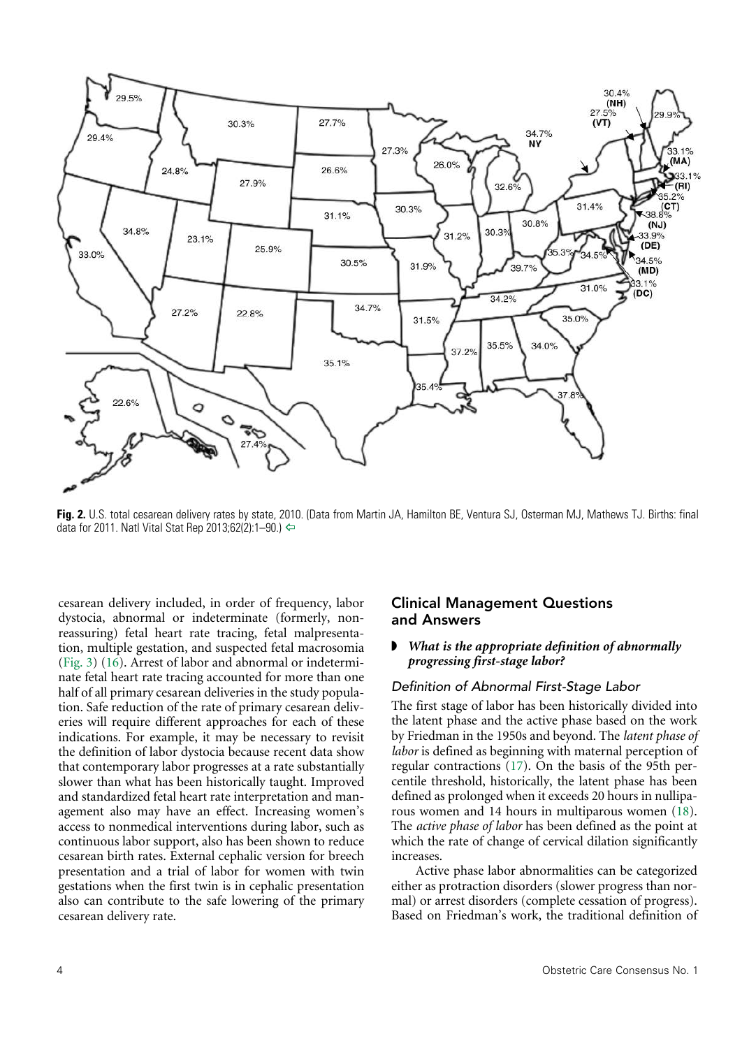<span id="page-3-0"></span>

**Fig. 2.** U.S. total cesarean delivery rates by state, 2010. (Data from Martin JA, Hamilton BE, Ventura SJ, Osterman MJ, Mathews TJ. Births: final data for 2011. Natl Vital Stat Rep 2013;62(2):1–90.) ←

<span id="page-3-2"></span><span id="page-3-1"></span>cesarean delivery included, in order of frequency, labor dystocia, abnormal or indeterminate (formerly, nonreassuring) fetal heart rate tracing, fetal malpresentation, multiple gestation, and suspected fetal macrosomia ([Fig. 3](#page-4-0)) [\(16\)](#page-13-13). Arrest of labor and abnormal or indeterminate fetal heart rate tracing accounted for more than one half of all primary cesarean deliveries in the study population. Safe reduction of the rate of primary cesarean deliveries will require different approaches for each of these indications. For example, it may be necessary to revisit the definition of labor dystocia because recent data show that contemporary labor progresses at a rate substantially slower than what has been historically taught. Improved and standardized fetal heart rate interpretation and management also may have an effect. Increasing women's access to nonmedical interventions during labor, such as continuous labor support, also has been shown to reduce cesarean birth rates. External cephalic version for breech presentation and a trial of labor for women with twin gestations when the first twin is in cephalic presentation also can contribute to the safe lowering of the primary cesarean delivery rate.

# Clinical Management Questions and Answers

#### ◗ *What is the appropriate definition of abnormally progressing first-stage labor?*

#### *Definition of Abnormal First-Stage Labor*

<span id="page-3-3"></span>The first stage of labor has been historically divided into the latent phase and the active phase based on the work by Friedman in the 1950s and beyond. The *latent phase of labor* is defined as beginning with maternal perception of regular contractions ([17](#page-14-0)). On the basis of the 95th percentile threshold, historically, the latent phase has been defined as prolonged when it exceeds 20 hours in nulliparous women and 14 hours in multiparous women [\(18\)](#page-14-1). The *active phase of labor* has been defined as the point at which the rate of change of cervical dilation significantly increases.

<span id="page-3-4"></span>Active phase labor abnormalities can be categorized either as protraction disorders (slower progress than normal) or arrest disorders (complete cessation of progress). Based on Friedman's work, the traditional definition of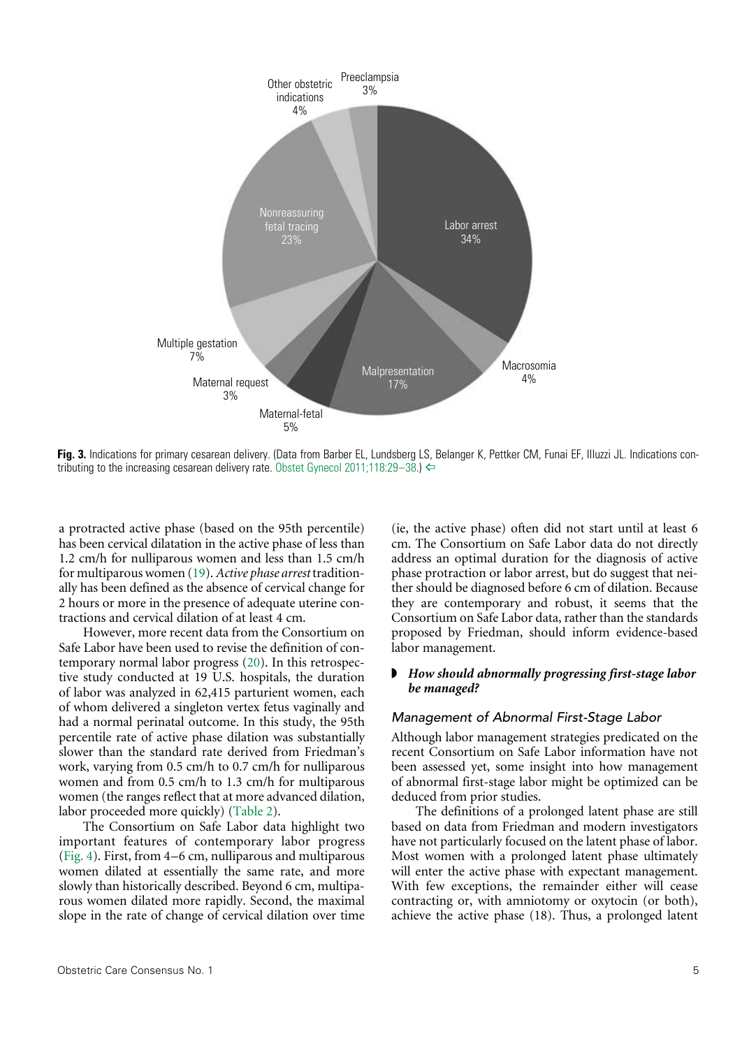<span id="page-4-0"></span>

**Fig. 3.** Indications for primary cesarean delivery. (Data from Barber EL, Lundsberg LS, Belanger K, Pettker CM, Funai EF, Illuzzi JL. Indications contributing to the increasing cesarean delivery rate. Obstet Gynecol 2011;118:29-38.)  $\Leftrightarrow$ 

<span id="page-4-3"></span>a protracted active phase (based on the 95th percentile) has been cervical dilatation in the active phase of less than 1.2 cm/h for nulliparous women and less than 1.5 cm/h for multiparous women [\(19\)](#page-14-2). *Active phase arrest* traditionally has been defined as the absence of cervical change for 2 hours or more in the presence of adequate uterine contractions and cervical dilation of at least 4 cm.

<span id="page-4-4"></span>However, more recent data from the Consortium on Safe Labor have been used to revise the definition of contemporary normal labor progress [\(20\)](#page-14-3). In this retrospective study conducted at 19 U.S. hospitals, the duration of labor was analyzed in 62,415 parturient women, each of whom delivered a singleton vertex fetus vaginally and had a normal perinatal outcome. In this study, the 95th percentile rate of active phase dilation was substantially slower than the standard rate derived from Friedman's work, varying from 0.5 cm/h to 0.7 cm/h for nulliparous women and from 0.5 cm/h to 1.3 cm/h for multiparous women (the ranges reflect that at more advanced dilation, labor proceeded more quickly) [\(Table 2](#page-5-0)).

<span id="page-4-2"></span><span id="page-4-1"></span>The Consortium on Safe Labor data highlight two important features of contemporary labor progress [\(Fig. 4\)](#page-5-1). First, from 4–6 cm, nulliparous and multiparous women dilated at essentially the same rate, and more slowly than historically described. Beyond 6 cm, multiparous women dilated more rapidly. Second, the maximal slope in the rate of change of cervical dilation over time (ie, the active phase) often did not start until at least 6 cm. The Consortium on Safe Labor data do not directly address an optimal duration for the diagnosis of active phase protraction or labor arrest, but do suggest that neither should be diagnosed before 6 cm of dilation. Because they are contemporary and robust, it seems that the Consortium on Safe Labor data, rather than the standards proposed by Friedman, should inform evidence-based labor management.

#### ◗ *How should abnormally progressing first-stage labor be managed?*

#### *Management of Abnormal First-Stage Labor*

Although labor management strategies predicated on the recent Consortium on Safe Labor information have not been assessed yet, some insight into how management of abnormal first-stage labor might be optimized can be deduced from prior studies.

The definitions of a prolonged latent phase are still based on data from Friedman and modern investigators have not particularly focused on the latent phase of labor. Most women with a prolonged latent phase ultimately will enter the active phase with expectant management. With few exceptions, the remainder either will cease contracting or, with amniotomy or oxytocin (or both), achieve the active phase (18). Thus, a prolonged latent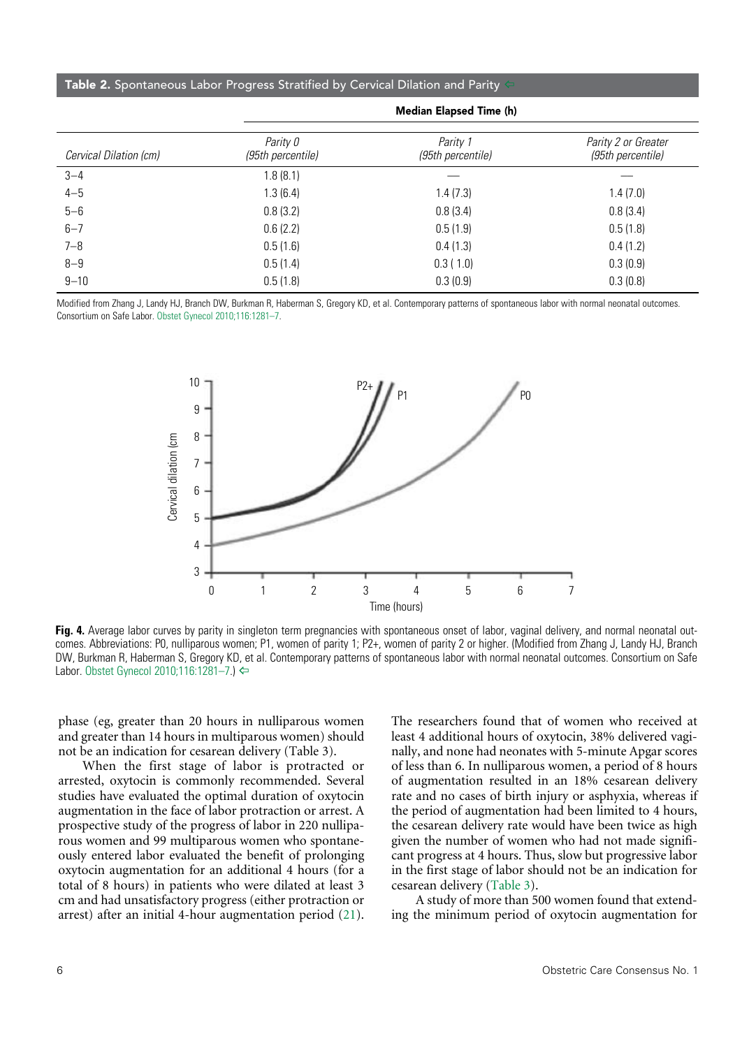#### <span id="page-5-0"></span>Table 2. Spontaneous Labor Progress Stratified by Cervical Dilation and Parity

| (95th percentile) | Parity 2 or Greater<br>(95th percentile) |
|-------------------|------------------------------------------|
|                   |                                          |
| 1.4(7.3)          | 1.4(7.0)                                 |
| 0.8(3.4)          | 0.8(3.4)                                 |
| 0.5(1.9)          | 0.5(1.8)                                 |
| 0.4(1.3)          | 0.4(1.2)                                 |
| 0.3(1.0)          | 0.3(0.9)                                 |
| 0.3(0.9)          | 0.3(0.8)                                 |
|                   | Parity 1                                 |

Modified from Zhang J, Landy HJ, Branch DW, Burkman R, Haberman S, Gregory KD, et al. Contemporary patterns of spontaneous labor with normal neonatal outcomes. Consortium on Safe Labor. [Obstet Gynecol 2010;116:1281–7](http://journals.lww.com/greenjournal/Fulltext/2010/12000/Contemporary_Patterns_of_Spontaneous_Labor_With.8.aspx).

<span id="page-5-1"></span>

**Fig. 4.** Average labor curves by parity in singleton term pregnancies with spontaneous onset of labor, vaginal delivery, and normal neonatal outcomes. Abbreviations: P0, nulliparous women; P1, women of parity 1; P2+, women of parity 2 or higher. (Modified from Zhang J, Landy HJ, Branch DW, Burkman R, Haberman S, Gregory KD, et al. Contemporary patterns of spontaneous labor with normal neonatal outcomes. Consortium on Safe

phase (eg, greater than 20 hours in nulliparous women and greater than 14 hours in multiparous women) should not be an indication for cesarean delivery (Table 3).

<span id="page-5-3"></span>When the first stage of labor is protracted or arrested, oxytocin is commonly recommended. Several studies have evaluated the optimal duration of oxytocin augmentation in the face of labor protraction or arrest. A prospective study of the progress of labor in 220 nulliparous women and 99 multiparous women who spontaneously entered labor evaluated the benefit of prolonging oxytocin augmentation for an additional 4 hours (for a total of 8 hours) in patients who were dilated at least 3 cm and had unsatisfactory progress (either protraction or arrest) after an initial 4-hour augmentation period [\(21\)](#page-14-4). The researchers found that of women who received at least 4 additional hours of oxytocin, 38% delivered vaginally, and none had neonates with 5-minute Apgar scores of less than 6. In nulliparous women, a period of 8 hours of augmentation resulted in an 18% cesarean delivery rate and no cases of birth injury or asphyxia, whereas if the period of augmentation had been limited to 4 hours, the cesarean delivery rate would have been twice as high given the number of women who had not made significant progress at 4 hours. Thus, slow but progressive labor in the first stage of labor should not be an indication for cesarean delivery [\(Table 3\)](#page-6-0).

<span id="page-5-2"></span>A study of more than 500 women found that extending the minimum period of oxytocin augmentation for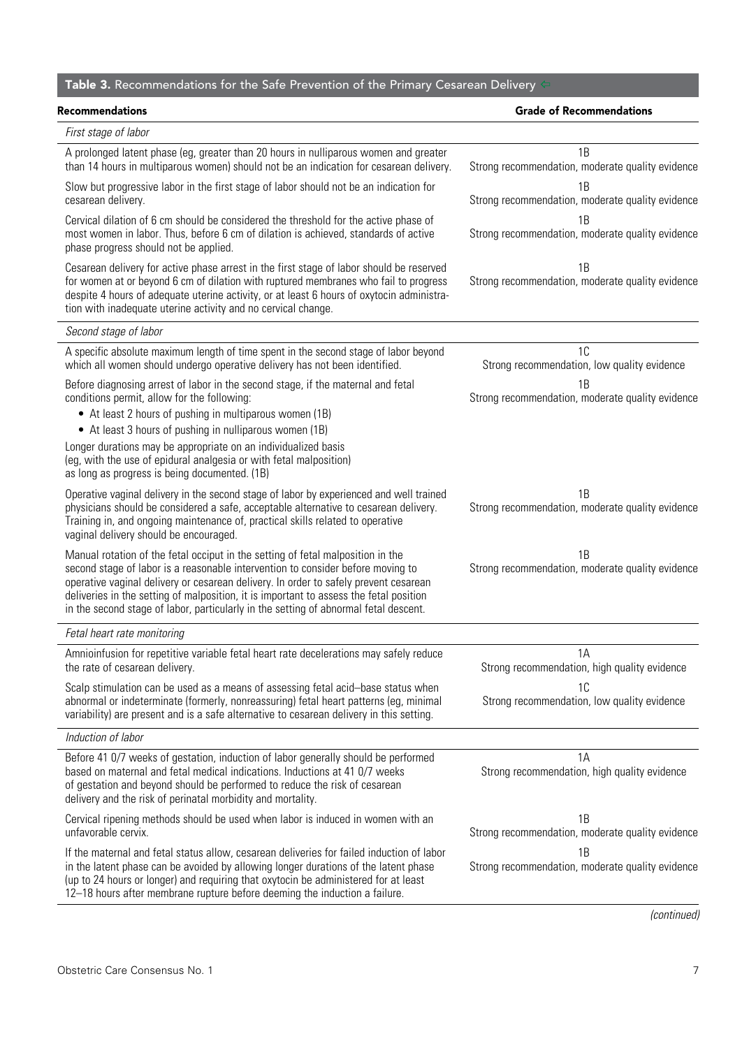# <span id="page-6-0"></span>Table 3. Recommendations for the Safe Prevention of the Primary Cesarean Delivery  $\leftarrow$

| Recommendations                                                                                                                                                                                                                                                                                                                                                                                                                              | <b>Grade of Recommendations</b>                        |  |
|----------------------------------------------------------------------------------------------------------------------------------------------------------------------------------------------------------------------------------------------------------------------------------------------------------------------------------------------------------------------------------------------------------------------------------------------|--------------------------------------------------------|--|
| First stage of labor                                                                                                                                                                                                                                                                                                                                                                                                                         |                                                        |  |
| A prolonged latent phase (eg, greater than 20 hours in nulliparous women and greater<br>than 14 hours in multiparous women) should not be an indication for cesarean delivery.                                                                                                                                                                                                                                                               | 1B<br>Strong recommendation, moderate quality evidence |  |
| Slow but progressive labor in the first stage of labor should not be an indication for<br>cesarean delivery.                                                                                                                                                                                                                                                                                                                                 | 1B<br>Strong recommendation, moderate quality evidence |  |
| Cervical dilation of 6 cm should be considered the threshold for the active phase of<br>most women in labor. Thus, before 6 cm of dilation is achieved, standards of active<br>phase progress should not be applied.                                                                                                                                                                                                                         | 1B<br>Strong recommendation, moderate quality evidence |  |
| Cesarean delivery for active phase arrest in the first stage of labor should be reserved<br>for women at or beyond 6 cm of dilation with ruptured membranes who fail to progress<br>despite 4 hours of adequate uterine activity, or at least 6 hours of oxytocin administra-<br>tion with inadequate uterine activity and no cervical change.                                                                                               | 1Β<br>Strong recommendation, moderate quality evidence |  |
| Second stage of labor                                                                                                                                                                                                                                                                                                                                                                                                                        |                                                        |  |
| A specific absolute maximum length of time spent in the second stage of labor beyond<br>which all women should undergo operative delivery has not been identified.                                                                                                                                                                                                                                                                           | 1C<br>Strong recommendation, low quality evidence      |  |
| Before diagnosing arrest of labor in the second stage, if the maternal and fetal<br>conditions permit, allow for the following:<br>• At least 2 hours of pushing in multiparous women (1B)                                                                                                                                                                                                                                                   | 1B<br>Strong recommendation, moderate quality evidence |  |
| • At least 3 hours of pushing in nulliparous women (1B)<br>Longer durations may be appropriate on an individualized basis<br>(eg, with the use of epidural analgesia or with fetal malposition)<br>as long as progress is being documented. (1B)                                                                                                                                                                                             |                                                        |  |
| Operative vaginal delivery in the second stage of labor by experienced and well trained<br>physicians should be considered a safe, acceptable alternative to cesarean delivery.<br>Training in, and ongoing maintenance of, practical skills related to operative<br>vaginal delivery should be encouraged.                                                                                                                                  | 1B<br>Strong recommendation, moderate quality evidence |  |
| Manual rotation of the fetal occiput in the setting of fetal malposition in the<br>second stage of labor is a reasonable intervention to consider before moving to<br>operative vaginal delivery or cesarean delivery. In order to safely prevent cesarean<br>deliveries in the setting of malposition, it is important to assess the fetal position<br>in the second stage of labor, particularly in the setting of abnormal fetal descent. | 1B<br>Strong recommendation, moderate quality evidence |  |
| Fetal heart rate monitoring                                                                                                                                                                                                                                                                                                                                                                                                                  |                                                        |  |
| Amnioinfusion for repetitive variable fetal heart rate decelerations may safely reduce<br>the rate of cesarean delivery.                                                                                                                                                                                                                                                                                                                     | 1A<br>Strong recommendation, high quality evidence     |  |
| Scalp stimulation can be used as a means of assessing fetal acid-base status when<br>abnormal or indeterminate (formerly, nonreassuring) fetal heart patterns (eg, minimal<br>variability) are present and is a safe alternative to cesarean delivery in this setting.                                                                                                                                                                       | 1C<br>Strong recommendation, low quality evidence      |  |
| Induction of labor                                                                                                                                                                                                                                                                                                                                                                                                                           |                                                        |  |
| Before 41 0/7 weeks of gestation, induction of labor generally should be performed<br>based on maternal and fetal medical indications. Inductions at 41 0/7 weeks<br>of gestation and beyond should be performed to reduce the risk of cesarean<br>delivery and the risk of perinatal morbidity and mortality.                                                                                                                               | 1A<br>Strong recommendation, high quality evidence     |  |
| Cervical ripening methods should be used when labor is induced in women with an<br>unfavorable cervix.                                                                                                                                                                                                                                                                                                                                       | 1B<br>Strong recommendation, moderate quality evidence |  |
| If the maternal and fetal status allow, cesarean deliveries for failed induction of labor<br>in the latent phase can be avoided by allowing longer durations of the latent phase<br>(up to 24 hours or longer) and requiring that oxytocin be administered for at least<br>12-18 hours after membrane rupture before deeming the induction a failure.                                                                                        | 1B<br>Strong recommendation, moderate quality evidence |  |

*(continued)*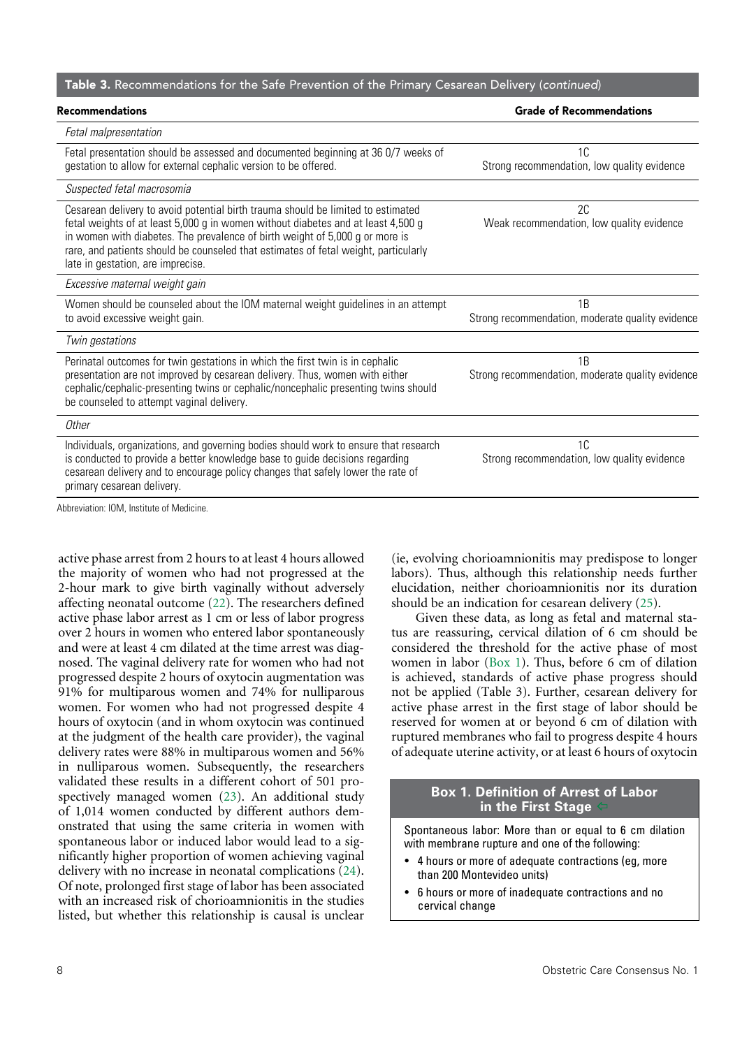#### Table 3. Recommendations for the Safe Prevention of the Primary Cesarean Delivery (*continued*)

| <b>Recommendations</b>                                                                                                                                                                                                                                                                                                                                                           | <b>Grade of Recommendations</b>                        |  |
|----------------------------------------------------------------------------------------------------------------------------------------------------------------------------------------------------------------------------------------------------------------------------------------------------------------------------------------------------------------------------------|--------------------------------------------------------|--|
| Fetal malpresentation                                                                                                                                                                                                                                                                                                                                                            |                                                        |  |
| Fetal presentation should be assessed and documented beginning at 36 0/7 weeks of<br>gestation to allow for external cephalic version to be offered.                                                                                                                                                                                                                             | 1C<br>Strong recommendation, low quality evidence      |  |
| Suspected fetal macrosomia                                                                                                                                                                                                                                                                                                                                                       |                                                        |  |
| Cesarean delivery to avoid potential birth trauma should be limited to estimated<br>fetal weights of at least 5,000 g in women without diabetes and at least 4,500 g<br>in women with diabetes. The prevalence of birth weight of 5,000 g or more is<br>rare, and patients should be counseled that estimates of fetal weight, particularly<br>late in gestation, are imprecise. | 2C<br>Weak recommendation, low quality evidence        |  |
| Excessive maternal weight gain                                                                                                                                                                                                                                                                                                                                                   |                                                        |  |
| Women should be counseled about the IOM maternal weight guidelines in an attempt<br>to avoid excessive weight gain.                                                                                                                                                                                                                                                              | 1B<br>Strong recommendation, moderate quality evidence |  |
| Twin gestations                                                                                                                                                                                                                                                                                                                                                                  |                                                        |  |
| Perinatal outcomes for twin gestations in which the first twin is in cephalic<br>presentation are not improved by cesarean delivery. Thus, women with either<br>cephalic/cephalic-presenting twins or cephalic/noncephalic presenting twins should<br>be counseled to attempt vaginal delivery.                                                                                  | 1B<br>Strong recommendation, moderate quality evidence |  |
| Other                                                                                                                                                                                                                                                                                                                                                                            |                                                        |  |
| Individuals, organizations, and governing bodies should work to ensure that research<br>is conducted to provide a better knowledge base to guide decisions regarding<br>cesarean delivery and to encourage policy changes that safely lower the rate of<br>primary cesarean delivery.                                                                                            | 1C<br>Strong recommendation, low quality evidence      |  |

Abbreviation: IOM, Institute of Medicine.

<span id="page-7-4"></span><span id="page-7-3"></span><span id="page-7-2"></span>active phase arrest from 2 hours to at least 4 hours allowed the majority of women who had not progressed at the 2-hour mark to give birth vaginally without adversely affecting neonatal outcome [\(22\)](#page-14-6). The researchers defined active phase labor arrest as 1 cm or less of labor progress over 2 hours in women who entered labor spontaneously and were at least 4 cm dilated at the time arrest was diagnosed. The vaginal delivery rate for women who had not progressed despite 2 hours of oxytocin augmentation was 91% for multiparous women and 74% for nulliparous women. For women who had not progressed despite 4 hours of oxytocin (and in whom oxytocin was continued at the judgment of the health care provider), the vaginal delivery rates were 88% in multiparous women and 56% in nulliparous women. Subsequently, the researchers validated these results in a different cohort of 501 prospectively managed women [\(23\)](#page-14-7). An additional study of 1,014 women conducted by different authors demonstrated that using the same criteria in women with spontaneous labor or induced labor would lead to a significantly higher proportion of women achieving vaginal delivery with no increase in neonatal complications [\(24\)](#page-14-8). Of note, prolonged first stage of labor has been associated with an increased risk of chorioamnionitis in the studies listed, but whether this relationship is causal is unclear

(ie, evolving chorioamnionitis may predispose to longer labors). Thus, although this relationship needs further elucidation, neither chorioamnionitis nor its duration should be an indication for cesarean delivery ([25](#page-14-5)).

<span id="page-7-5"></span><span id="page-7-1"></span>Given these data, as long as fetal and maternal status are reassuring, cervical dilation of 6 cm should be considered the threshold for the active phase of most women in labor [\(Box 1\)](#page-7-0). Thus, before 6 cm of dilation is achieved, standards of active phase progress should not be applied (Table 3). Further, cesarean delivery for active phase arrest in the first stage of labor should be reserved for women at or beyond 6 cm of dilation with ruptured membranes who fail to progress despite 4 hours of adequate uterine activity, or at least 6 hours of oxytocin

#### <span id="page-7-0"></span>**Box 1. Definition of Arrest of Labor in the First Stage** [^](#page-7-1)

Spontaneous labor: More than or equal to 6 cm dilation with membrane rupture and one of the following:

- 4 hours or more of adequate contractions (eg, more than 200 Montevideo units)
- 6 hours or more of inadequate contractions and no cervical change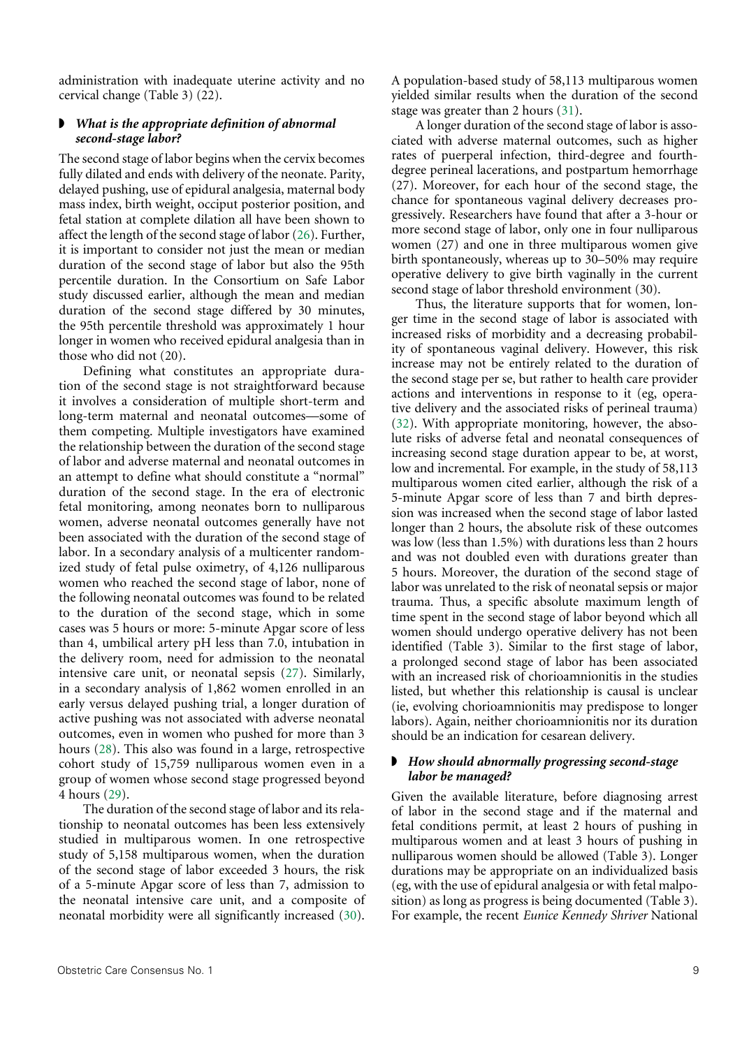administration with inadequate uterine activity and no cervical change (Table 3) (22).

#### ◗ *What is the appropriate definition of abnormal second-stage labor?*

<span id="page-8-2"></span>The second stage of labor begins when the cervix becomes fully dilated and ends with delivery of the neonate. Parity, delayed pushing, use of epidural analgesia, maternal body mass index, birth weight, occiput posterior position, and fetal station at complete dilation all have been shown to affect the length of the second stage of labor [\(26\)](#page-14-11). Further, it is important to consider not just the mean or median duration of the second stage of labor but also the 95th percentile duration. In the Consortium on Safe Labor study discussed earlier, although the mean and median duration of the second stage differed by 30 minutes, the 95th percentile threshold was approximately 1 hour longer in women who received epidural analgesia than in those who did not (20).

Defining what constitutes an appropriate duration of the second stage is not straightforward because it involves a consideration of multiple short-term and long-term maternal and neonatal outcomes––some of them competing. Multiple investigators have examined the relationship between the duration of the second stage of labor and adverse maternal and neonatal outcomes in an attempt to define what should constitute a "normal" duration of the second stage. In the era of electronic fetal monitoring, among neonates born to nulliparous women, adverse neonatal outcomes generally have not been associated with the duration of the second stage of labor. In a secondary analysis of a multicenter randomized study of fetal pulse oximetry, of 4,126 nulliparous women who reached the second stage of labor, none of the following neonatal outcomes was found to be related to the duration of the second stage, which in some cases was 5 hours or more: 5-minute Apgar score of less than 4, umbilical artery pH less than 7.0, intubation in the delivery room, need for admission to the neonatal intensive care unit, or neonatal sepsis [\(27\)](#page-14-12). Similarly, in a secondary analysis of 1,862 women enrolled in an early versus delayed pushing trial, a longer duration of active pushing was not associated with adverse neonatal outcomes, even in women who pushed for more than 3 hours [\(28\)](#page-14-13). This also was found in a large, retrospective cohort study of 15,759 nulliparous women even in a group of women whose second stage progressed beyond 4 hours [\(29\)](#page-14-14).

<span id="page-8-6"></span><span id="page-8-5"></span><span id="page-8-4"></span><span id="page-8-3"></span>The duration of the second stage of labor and its relationship to neonatal outcomes has been less extensively studied in multiparous women. In one retrospective study of 5,158 multiparous women, when the duration of the second stage of labor exceeded 3 hours, the risk of a 5-minute Apgar score of less than 7, admission to the neonatal intensive care unit, and a composite of neonatal morbidity were all significantly increased ([30](#page-14-15)).

A population-based study of 58,113 multiparous women yielded similar results when the duration of the second stage was greater than 2 hours ([31](#page-14-9)).

<span id="page-8-0"></span>A longer duration of the second stage of labor is associated with adverse maternal outcomes, such as higher rates of puerperal infection, third-degree and fourthdegree perineal lacerations, and postpartum hemorrhage (27). Moreover, for each hour of the second stage, the chance for spontaneous vaginal delivery decreases progressively. Researchers have found that after a 3-hour or more second stage of labor, only one in four nulliparous women (27) and one in three multiparous women give birth spontaneously, whereas up to 30–50% may require operative delivery to give birth vaginally in the current second stage of labor threshold environment (30).

<span id="page-8-1"></span>Thus, the literature supports that for women, longer time in the second stage of labor is associated with increased risks of morbidity and a decreasing probability of spontaneous vaginal delivery. However, this risk increase may not be entirely related to the duration of the second stage per se, but rather to health care provider actions and interventions in response to it (eg, operative delivery and the associated risks of perineal trauma) ([32](#page-14-10)). With appropriate monitoring, however, the absolute risks of adverse fetal and neonatal consequences of increasing second stage duration appear to be, at worst, low and incremental. For example, in the study of 58,113 multiparous women cited earlier, although the risk of a 5-minute Apgar score of less than 7 and birth depression was increased when the second stage of labor lasted longer than 2 hours, the absolute risk of these outcomes was low (less than 1.5%) with durations less than 2 hours and was not doubled even with durations greater than 5 hours. Moreover, the duration of the second stage of labor was unrelated to the risk of neonatal sepsis or major trauma. Thus, a specific absolute maximum length of time spent in the second stage of labor beyond which all women should undergo operative delivery has not been identified (Table 3). Similar to the first stage of labor, a prolonged second stage of labor has been associated with an increased risk of chorioamnionitis in the studies listed, but whether this relationship is causal is unclear (ie, evolving chorioamnionitis may predispose to longer labors). Again, neither chorioamnionitis nor its duration should be an indication for cesarean delivery.

#### ◗ *How should abnormally progressing second-stage labor be managed?*

Given the available literature, before diagnosing arrest of labor in the second stage and if the maternal and fetal conditions permit, at least 2 hours of pushing in multiparous women and at least 3 hours of pushing in nulliparous women should be allowed (Table 3). Longer durations may be appropriate on an individualized basis (eg, with the use of epidural analgesia or with fetal malposition) as long as progress is being documented (Table 3). For example, the recent *Eunice Kennedy Shriver* National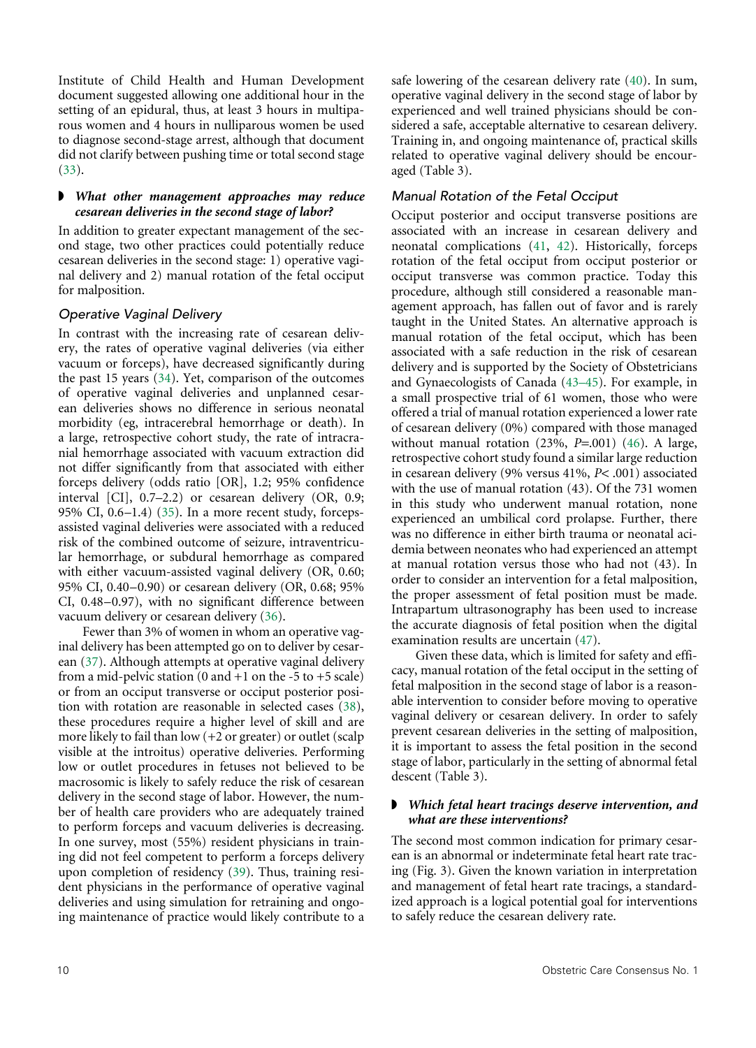Institute of Child Health and Human Development document suggested allowing one additional hour in the setting of an epidural, thus, at least 3 hours in multiparous women and 4 hours in nulliparous women be used to diagnose second-stage arrest, although that document did not clarify between pushing time or total second stage ([33](#page-14-20)).

#### <span id="page-9-0"></span>◗ *What other management approaches may reduce cesarean deliveries in the second stage of labor?*

In addition to greater expectant management of the second stage, two other practices could potentially reduce cesarean deliveries in the second stage: 1) operative vaginal delivery and 2) manual rotation of the fetal occiput for malposition.

#### *Operative Vaginal Delivery*

<span id="page-9-1"></span>In contrast with the increasing rate of cesarean delivery, the rates of operative vaginal deliveries (via either vacuum or forceps), have decreased significantly during the past 15 years ([34](#page-14-21)). Yet, comparison of the outcomes of operative vaginal deliveries and unplanned cesarean deliveries shows no difference in serious neonatal morbidity (eg, intracerebral hemorrhage or death). In a large, retrospective cohort study, the rate of intracranial hemorrhage associated with vacuum extraction did not differ significantly from that associated with either forceps delivery (odds ratio [OR], 1.2; 95% confidence interval [CI], 0.7–2.2) or cesarean delivery (OR, 0.9; 95% CI, 0.6–1.4) [\(35\)](#page-14-22). In a more recent study, forcepsassisted vaginal deliveries were associated with a reduced risk of the combined outcome of seizure, intraventricular hemorrhage, or subdural hemorrhage as compared with either vacuum-assisted vaginal delivery (OR, 0.60; 95% CI, 0.40–0.90) or cesarean delivery (OR, 0.68; 95% CI, 0.48–0.97), with no significant difference between vacuum delivery or cesarean delivery ([36](#page-14-23)).

<span id="page-9-6"></span><span id="page-9-5"></span><span id="page-9-4"></span><span id="page-9-3"></span><span id="page-9-2"></span>Fewer than 3% of women in whom an operative vaginal delivery has been attempted go on to deliver by cesarean [\(37\)](#page-14-24). Although attempts at operative vaginal delivery from a mid-pelvic station  $(0 \text{ and } +1 \text{ on the } -5 \text{ to } +5 \text{ scale})$ or from an occiput transverse or occiput posterior position with rotation are reasonable in selected cases [\(38\)](#page-14-25), these procedures require a higher level of skill and are more likely to fail than low  $(+2 \text{ or greater})$  or outlet (scalp visible at the introitus) operative deliveries. Performing low or outlet procedures in fetuses not believed to be macrosomic is likely to safely reduce the risk of cesarean delivery in the second stage of labor. However, the number of health care providers who are adequately trained to perform forceps and vacuum deliveries is decreasing. In one survey, most (55%) resident physicians in training did not feel competent to perform a forceps delivery upon completion of residency ([39](#page-14-26)). Thus, training resident physicians in the performance of operative vaginal deliveries and using simulation for retraining and ongoing maintenance of practice would likely contribute to a <span id="page-9-7"></span>safe lowering of the cesarean delivery rate ([40](#page-14-16)). In sum, operative vaginal delivery in the second stage of labor by experienced and well trained physicians should be considered a safe, acceptable alternative to cesarean delivery. Training in, and ongoing maintenance of, practical skills related to operative vaginal delivery should be encouraged (Table 3).

#### *Manual Rotation of the Fetal Occiput*

<span id="page-9-9"></span><span id="page-9-8"></span>Occiput posterior and occiput transverse positions are associated with an increase in cesarean delivery and neonatal complications ([41](#page-14-17), [42\)](#page-14-18). Historically, forceps rotation of the fetal occiput from occiput posterior or occiput transverse was common practice. Today this procedure, although still considered a reasonable management approach, has fallen out of favor and is rarely taught in the United States. An alternative approach is manual rotation of the fetal occiput, which has been associated with a safe reduction in the risk of cesarean delivery and is supported by the Society of Obstetricians and Gynaecologists of Canada ([43–45\)](#page-14-19). For example, in a small prospective trial of 61 women, those who were offered a trial of manual rotation experienced a lower rate of cesarean delivery (0%) compared with those managed without manual rotation (23%, *P*=.001) [\(46\)](#page-15-0). A large, retrospective cohort study found a similar large reduction in cesarean delivery (9% versus 41%, *P*< .001) associated with the use of manual rotation (43). Of the 731 women in this study who underwent manual rotation, none experienced an umbilical cord prolapse. Further, there was no difference in either birth trauma or neonatal acidemia between neonates who had experienced an attempt at manual rotation versus those who had not (43). In order to consider an intervention for a fetal malposition, the proper assessment of fetal position must be made. Intrapartum ultrasonography has been used to increase the accurate diagnosis of fetal position when the digital examination results are uncertain [\(47\)](#page-15-1).

<span id="page-9-11"></span><span id="page-9-10"></span>Given these data, which is limited for safety and efficacy, manual rotation of the fetal occiput in the setting of fetal malposition in the second stage of labor is a reasonable intervention to consider before moving to operative vaginal delivery or cesarean delivery. In order to safely prevent cesarean deliveries in the setting of malposition, it is important to assess the fetal position in the second stage of labor, particularly in the setting of abnormal fetal descent (Table 3).

#### ◗ *Which fetal heart tracings deserve intervention, and what are these interventions?*

The second most common indication for primary cesarean is an abnormal or indeterminate fetal heart rate tracing (Fig. 3). Given the known variation in interpretation and management of fetal heart rate tracings, a standardized approach is a logical potential goal for interventions to safely reduce the cesarean delivery rate.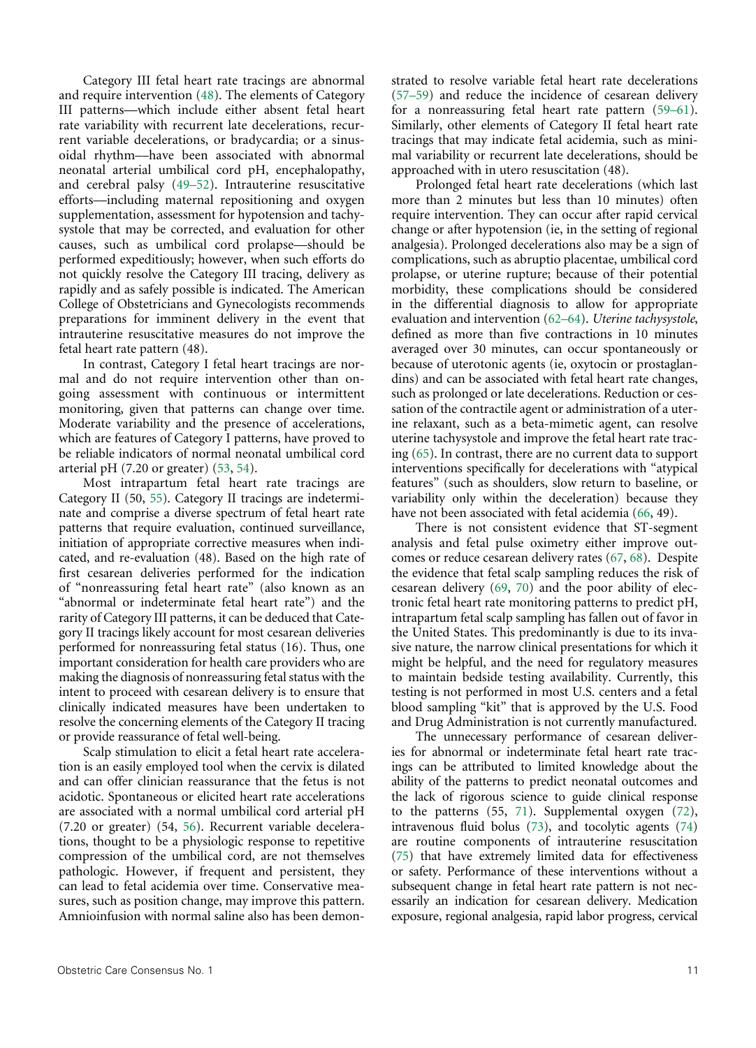<span id="page-10-10"></span><span id="page-10-9"></span>Category III fetal heart rate tracings are abnormal and require intervention [\(48\)](#page-15-15). The elements of Category III patterns––which include either absent fetal heart rate variability with recurrent late decelerations, recurrent variable decelerations, or bradycardia; or a sinusoidal rhythm––have been associated with abnormal neonatal arterial umbilical cord pH, encephalopathy, and cerebral palsy [\(49–52\)](#page-15-16). Intrauterine resuscitative efforts––including maternal repositioning and oxygen supplementation, assessment for hypotension and tachysystole that may be corrected, and evaluation for other causes, such as umbilical cord prolapse––should be performed expeditiously; however, when such efforts do not quickly resolve the Category III tracing, delivery as rapidly and as safely possible is indicated. The American College of Obstetricians and Gynecologists recommends preparations for imminent delivery in the event that intrauterine resuscitative measures do not improve the fetal heart rate pattern (48).

In contrast, Category I fetal heart tracings are normal and do not require intervention other than ongoing assessment with continuous or intermittent monitoring, given that patterns can change over time. Moderate variability and the presence of accelerations, which are features of Category I patterns, have proved to be reliable indicators of normal neonatal umbilical cord arterial pH (7.20 or greater) [\(53,](#page-15-17) [54](#page-15-18)).

<span id="page-10-12"></span><span id="page-10-11"></span>Most intrapartum fetal heart rate tracings are Category II (50, [55\)](#page-15-19). Category II tracings are indeterminate and comprise a diverse spectrum of fetal heart rate patterns that require evaluation, continued surveillance, initiation of appropriate corrective measures when indicated, and re-evaluation (48). Based on the high rate of first cesarean deliveries performed for the indication of "nonreassuring fetal heart rate" (also known as an "abnormal or indeterminate fetal heart rate") and the rarity of Category III patterns, it can be deduced that Category II tracings likely account for most cesarean deliveries performed for nonreassuring fetal status (16). Thus, one important consideration for health care providers who are making the diagnosis of nonreassuring fetal status with the intent to proceed with cesarean delivery is to ensure that clinically indicated measures have been undertaken to resolve the concerning elements of the Category II tracing or provide reassurance of fetal well-being.

<span id="page-10-13"></span>Scalp stimulation to elicit a fetal heart rate acceleration is an easily employed tool when the cervix is dilated and can offer clinician reassurance that the fetus is not acidotic. Spontaneous or elicited heart rate accelerations are associated with a normal umbilical cord arterial pH (7.20 or greater) (54, [56\)](#page-15-20). Recurrent variable decelerations, thought to be a physiologic response to repetitive compression of the umbilical cord, are not themselves pathologic. However, if frequent and persistent, they can lead to fetal acidemia over time. Conservative measures, such as position change, may improve this pattern. Amnioinfusion with normal saline also has been demon<span id="page-10-14"></span><span id="page-10-0"></span>strated to resolve variable fetal heart rate decelerations ([57–59\)](#page-15-2) and reduce the incidence of cesarean delivery for a nonreassuring fetal heart rate pattern [\(59–61](#page-15-3)). Similarly, other elements of Category II fetal heart rate tracings that may indicate fetal acidemia, such as minimal variability or recurrent late decelerations, should be approached with in utero resuscitation (48).

<span id="page-10-1"></span>Prolonged fetal heart rate decelerations (which last more than 2 minutes but less than 10 minutes) often require intervention. They can occur after rapid cervical change or after hypotension (ie, in the setting of regional analgesia). Prolonged decelerations also may be a sign of complications, such as abruptio placentae, umbilical cord prolapse, or uterine rupture; because of their potential morbidity, these complications should be considered in the differential diagnosis to allow for appropriate evaluation and intervention ([62–64\)](#page-15-4). *Uterine tachysystole*, defined as more than five contractions in 10 minutes averaged over 30 minutes, can occur spontaneously or because of uterotonic agents (ie, oxytocin or prostaglandins) and can be associated with fetal heart rate changes, such as prolonged or late decelerations. Reduction or cessation of the contractile agent or administration of a uterine relaxant, such as a beta-mimetic agent, can resolve uterine tachysystole and improve the fetal heart rate tracing [\(65\)](#page-15-5). In contrast, there are no current data to support interventions specifically for decelerations with "atypical features" (such as shoulders, slow return to baseline, or variability only within the deceleration) because they have not been associated with fetal acidemia ([66](#page-15-6), 49).

<span id="page-10-5"></span><span id="page-10-4"></span><span id="page-10-3"></span><span id="page-10-2"></span>There is not consistent evidence that ST-segment analysis and fetal pulse oximetry either improve outcomes or reduce cesarean delivery rates ([67](#page-15-7), [68\)](#page-15-8). Despite the evidence that fetal scalp sampling reduces the risk of cesarean delivery [\(69,](#page-15-9) [70\)](#page-15-10) and the poor ability of electronic fetal heart rate monitoring patterns to predict pH, intrapartum fetal scalp sampling has fallen out of favor in the United States. This predominantly is due to its invasive nature, the narrow clinical presentations for which it might be helpful, and the need for regulatory measures to maintain bedside testing availability. Currently, this testing is not performed in most U.S. centers and a fetal blood sampling "kit" that is approved by the U.S. Food and Drug Administration is not currently manufactured.

<span id="page-10-16"></span><span id="page-10-15"></span><span id="page-10-8"></span><span id="page-10-7"></span><span id="page-10-6"></span>The unnecessary performance of cesarean deliveries for abnormal or indeterminate fetal heart rate tracings can be attributed to limited knowledge about the ability of the patterns to predict neonatal outcomes and the lack of rigorous science to guide clinical response to the patterns (55, [71\)](#page-15-11). Supplemental oxygen ([72](#page-15-12)), intravenous fluid bolus [\(73](#page-15-13)), and tocolytic agents [\(74\)](#page-15-14) are routine components of intrauterine resuscitation ([75\)](#page-16-0) that have extremely limited data for effectiveness or safety. Performance of these interventions without a subsequent change in fetal heart rate pattern is not necessarily an indication for cesarean delivery. Medication exposure, regional analgesia, rapid labor progress, cervical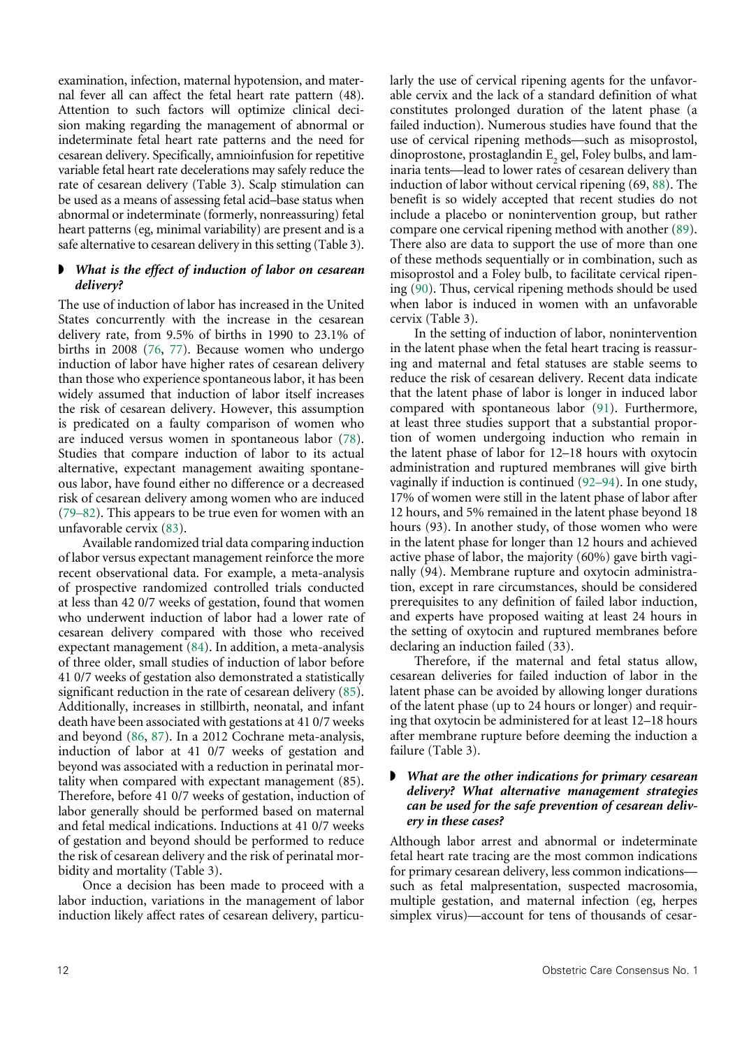examination, infection, maternal hypotension, and maternal fever all can affect the fetal heart rate pattern (48). Attention to such factors will optimize clinical decision making regarding the management of abnormal or indeterminate fetal heart rate patterns and the need for cesarean delivery. Specifically, amnioinfusion for repetitive variable fetal heart rate decelerations may safely reduce the rate of cesarean delivery (Table 3). Scalp stimulation can be used as a means of assessing fetal acid–base status when abnormal or indeterminate (formerly, nonreassuring) fetal heart patterns (eg, minimal variability) are present and is a safe alternative to cesarean delivery in this setting (Table 3).

#### ◗ *What is the effect of induction of labor on cesarean delivery?*

<span id="page-11-5"></span>The use of induction of labor has increased in the United States concurrently with the increase in the cesarean delivery rate, from 9.5% of births in 1990 to 23.1% of births in 2008 [\(76,](#page-16-6) [77\)](#page-16-7). Because women who undergo induction of labor have higher rates of cesarean delivery than those who experience spontaneous labor, it has been widely assumed that induction of labor itself increases the risk of cesarean delivery. However, this assumption is predicated on a faulty comparison of women who are induced versus women in spontaneous labor [\(78\)](#page-16-8). Studies that compare induction of labor to its actual alternative, expectant management awaiting spontaneous labor, have found either no difference or a decreased risk of cesarean delivery among women who are induced ([79–82\)](#page-16-9). This appears to be true even for women with an unfavorable cervix ([83](#page-16-10)).

<span id="page-11-10"></span><span id="page-11-9"></span><span id="page-11-8"></span><span id="page-11-7"></span><span id="page-11-6"></span>Available randomized trial data comparing induction of labor versus expectant management reinforce the more recent observational data. For example, a meta-analysis of prospective randomized controlled trials conducted at less than 42 0/7 weeks of gestation, found that women who underwent induction of labor had a lower rate of cesarean delivery compared with those who received expectant management [\(84\)](#page-16-11). In addition, a meta-analysis of three older, small studies of induction of labor before 41 0/7 weeks of gestation also demonstrated a statistically significant reduction in the rate of cesarean delivery [\(85\)](#page-16-12). Additionally, increases in stillbirth, neonatal, and infant death have been associated with gestations at 41 0/7 weeks and beyond [\(86](#page-16-13), [87](#page-16-14)). In a 2012 Cochrane meta-analysis, induction of labor at 41 0/7 weeks of gestation and beyond was associated with a reduction in perinatal mortality when compared with expectant management (85). Therefore, before 41 0/7 weeks of gestation, induction of labor generally should be performed based on maternal and fetal medical indications. Inductions at 41 0/7 weeks of gestation and beyond should be performed to reduce the risk of cesarean delivery and the risk of perinatal morbidity and mortality (Table 3).

<span id="page-11-11"></span>Once a decision has been made to proceed with a labor induction, variations in the management of labor induction likely affect rates of cesarean delivery, particu<span id="page-11-0"></span>larly the use of cervical ripening agents for the unfavorable cervix and the lack of a standard definition of what constitutes prolonged duration of the latent phase (a failed induction). Numerous studies have found that the use of cervical ripening methods––such as misoprostol, dinoprostone, prostaglandin  $E_2$  gel, Foley bulbs, and laminaria tents––lead to lower rates of cesarean delivery than induction of labor without cervical ripening (69, [88](#page-16-1)). The benefit is so widely accepted that recent studies do not include a placebo or nonintervention group, but rather compare one cervical ripening method with another [\(89\)](#page-16-2). There also are data to support the use of more than one of these methods sequentially or in combination, such as misoprostol and a Foley bulb, to facilitate cervical ripening ([90](#page-16-3)). Thus, cervical ripening methods should be used when labor is induced in women with an unfavorable cervix (Table 3).

<span id="page-11-4"></span><span id="page-11-3"></span><span id="page-11-2"></span><span id="page-11-1"></span>In the setting of induction of labor, nonintervention in the latent phase when the fetal heart tracing is reassuring and maternal and fetal statuses are stable seems to reduce the risk of cesarean delivery. Recent data indicate that the latent phase of labor is longer in induced labor compared with spontaneous labor ([91](#page-16-4)). Furthermore, at least three studies support that a substantial proportion of women undergoing induction who remain in the latent phase of labor for 12–18 hours with oxytocin administration and ruptured membranes will give birth vaginally if induction is continued [\(92–94](#page-16-5)). In one study, 17% of women were still in the latent phase of labor after 12 hours, and 5% remained in the latent phase beyond 18 hours (93). In another study, of those women who were in the latent phase for longer than 12 hours and achieved active phase of labor, the majority (60%) gave birth vaginally (94). Membrane rupture and oxytocin administration, except in rare circumstances, should be considered prerequisites to any definition of failed labor induction, and experts have proposed waiting at least 24 hours in the setting of oxytocin and ruptured membranes before declaring an induction failed (33).

Therefore, if the maternal and fetal status allow, cesarean deliveries for failed induction of labor in the latent phase can be avoided by allowing longer durations of the latent phase (up to 24 hours or longer) and requiring that oxytocin be administered for at least 12–18 hours after membrane rupture before deeming the induction a failure (Table 3).

#### ◗ *What are the other indications for primary cesarean delivery? What alternative management strategies can be used for the safe prevention of cesarean delivery in these cases?*

Although labor arrest and abnormal or indeterminate fetal heart rate tracing are the most common indications for primary cesarean delivery, less common indications–– such as fetal malpresentation, suspected macrosomia, multiple gestation, and maternal infection (eg, herpes simplex virus)––account for tens of thousands of cesar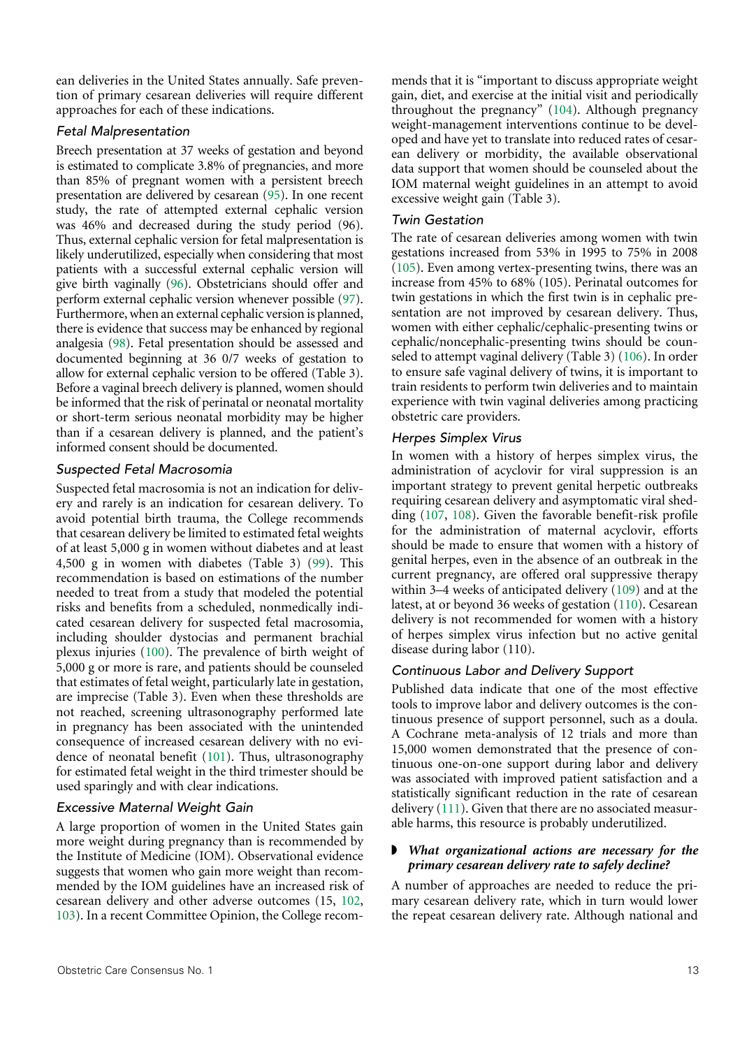ean deliveries in the United States annually. Safe prevention of primary cesarean deliveries will require different approaches for each of these indications.

#### *Fetal Malpresentation*

<span id="page-12-2"></span><span id="page-12-1"></span><span id="page-12-0"></span>Breech presentation at 37 weeks of gestation and beyond is estimated to complicate 3.8% of pregnancies, and more than 85% of pregnant women with a persistent breech presentation are delivered by cesarean [\(95\)](#page-16-15). In one recent study, the rate of attempted external cephalic version was 46% and decreased during the study period (96). Thus, external cephalic version for fetal malpresentation is likely underutilized, especially when considering that most patients with a successful external cephalic version will give birth vaginally [\(96](#page-16-16)). Obstetricians should offer and perform external cephalic version whenever possible [\(97](#page-16-17)). Furthermore, when an external cephalic version is planned, there is evidence that success may be enhanced by regional analgesia [\(98\)](#page-16-18). Fetal presentation should be assessed and documented beginning at 36 0/7 weeks of gestation to allow for external cephalic version to be offered (Table 3). Before a vaginal breech delivery is planned, women should be informed that the risk of perinatal or neonatal mortality or short-term serious neonatal morbidity may be higher than if a cesarean delivery is planned, and the patient's informed consent should be documented.

#### <span id="page-12-3"></span>*Suspected Fetal Macrosomia*

<span id="page-12-4"></span>Suspected fetal macrosomia is not an indication for delivery and rarely is an indication for cesarean delivery. To avoid potential birth trauma, the College recommends that cesarean delivery be limited to estimated fetal weights of at least 5,000 g in women without diabetes and at least 4,500 g in women with diabetes (Table 3) ([99](#page-16-19)). This recommendation is based on estimations of the number needed to treat from a study that modeled the potential risks and benefits from a scheduled, nonmedically indicated cesarean delivery for suspected fetal macrosomia, including shoulder dystocias and permanent brachial plexus injuries [\(100](#page-16-20)). The prevalence of birth weight of 5,000 g or more is rare, and patients should be counseled that estimates of fetal weight, particularly late in gestation, are imprecise (Table 3). Even when these thresholds are not reached, screening ultrasonography performed late in pregnancy has been associated with the unintended consequence of increased cesarean delivery with no evidence of neonatal benefit ([101\)](#page-16-21). Thus, ultrasonography for estimated fetal weight in the third trimester should be used sparingly and with clear indications.

# <span id="page-12-6"></span><span id="page-12-5"></span>*Excessive Maternal Weight Gain*

<span id="page-12-8"></span><span id="page-12-7"></span>A large proportion of women in the United States gain more weight during pregnancy than is recommended by the Institute of Medicine (IOM). Observational evidence suggests that women who gain more weight than recommended by the IOM guidelines have an increased risk of cesarean delivery and other adverse outcomes (15, [102,](#page-17-8) [103\)](#page-17-9). In a recent Committee Opinion, the College recom<span id="page-12-9"></span>mends that it is "important to discuss appropriate weight gain, diet, and exercise at the initial visit and periodically throughout the pregnancy" [\(104\)](#page-17-0). Although pregnancy weight-management interventions continue to be developed and have yet to translate into reduced rates of cesarean delivery or morbidity, the available observational data support that women should be counseled about the IOM maternal weight guidelines in an attempt to avoid excessive weight gain (Table 3).

#### *Twin Gestation*

<span id="page-12-10"></span>The rate of cesarean deliveries among women with twin gestations increased from 53% in 1995 to 75% in 2008 ([105\)](#page-17-1). Even among vertex-presenting twins, there was an increase from 45% to 68% (105). Perinatal outcomes for twin gestations in which the first twin is in cephalic presentation are not improved by cesarean delivery. Thus, women with either cephalic/cephalic-presenting twins or cephalic/noncephalic-presenting twins should be counseled to attempt vaginal delivery (Table 3) [\(106](#page-17-2)). In order to ensure safe vaginal delivery of twins, it is important to train residents to perform twin deliveries and to maintain experience with twin vaginal deliveries among practicing obstetric care providers.

#### <span id="page-12-11"></span>*Herpes Simplex Virus*

<span id="page-12-12"></span>In women with a history of herpes simplex virus, the administration of acyclovir for viral suppression is an important strategy to prevent genital herpetic outbreaks requiring cesarean delivery and asymptomatic viral shedding ([107](#page-17-3), [108](#page-17-4)). Given the favorable benefit-risk profile for the administration of maternal acyclovir, efforts should be made to ensure that women with a history of genital herpes, even in the absence of an outbreak in the current pregnancy, are offered oral suppressive therapy within 3–4 weeks of anticipated delivery ([109](#page-17-5)) and at the latest, at or beyond 36 weeks of gestation ([110\)](#page-17-6). Cesarean delivery is not recommended for women with a history of herpes simplex virus infection but no active genital disease during labor (110).

# <span id="page-12-14"></span><span id="page-12-13"></span>*Continuous Labor and Delivery Support*

Published data indicate that one of the most effective tools to improve labor and delivery outcomes is the continuous presence of support personnel, such as a doula. A Cochrane meta-analysis of 12 trials and more than 15,000 women demonstrated that the presence of continuous one-on-one support during labor and delivery was associated with improved patient satisfaction and a statistically significant reduction in the rate of cesarean delivery ([111](#page-17-7)). Given that there are no associated measurable harms, this resource is probably underutilized.

#### <span id="page-12-15"></span>◗ *What organizational actions are necessary for the primary cesarean delivery rate to safely decline?*

A number of approaches are needed to reduce the primary cesarean delivery rate, which in turn would lower the repeat cesarean delivery rate. Although national and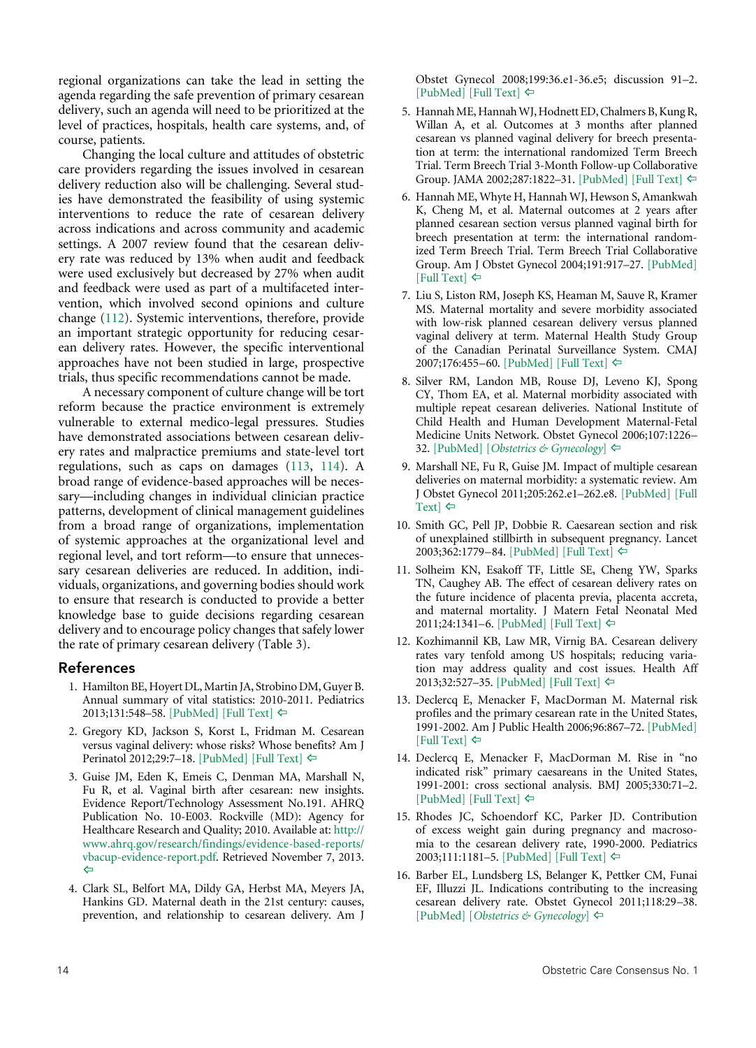regional organizations can take the lead in setting the agenda regarding the safe prevention of primary cesarean delivery, such an agenda will need to be prioritized at the level of practices, hospitals, health care systems, and, of course, patients.

Changing the local culture and attitudes of obstetric care providers regarding the issues involved in cesarean delivery reduction also will be challenging. Several studies have demonstrated the feasibility of using systemic interventions to reduce the rate of cesarean delivery across indications and across community and academic settings. A 2007 review found that the cesarean delivery rate was reduced by 13% when audit and feedback were used exclusively but decreased by 27% when audit and feedback were used as part of a multifaceted intervention, which involved second opinions and culture change ([112\)](#page-17-10). Systemic interventions, therefore, provide an important strategic opportunity for reducing cesarean delivery rates. However, the specific interventional approaches have not been studied in large, prospective trials, thus specific recommendations cannot be made.

<span id="page-13-15"></span><span id="page-13-14"></span>A necessary component of culture change will be tort reform because the practice environment is extremely vulnerable to external medico-legal pressures. Studies have demonstrated associations between cesarean delivery rates and malpractice premiums and state-level tort regulations, such as caps on damages ([113,](#page-17-11) [114\)](#page-17-12). A broad range of evidence-based approaches will be necessary––including changes in individual clinician practice patterns, development of clinical management guidelines from a broad range of organizations, implementation of systemic approaches at the organizational level and regional level, and tort reform––to ensure that unnecessary cesarean deliveries are reduced. In addition, individuals, organizations, and governing bodies should work to ensure that research is conducted to provide a better knowledge base to guide decisions regarding cesarean delivery and to encourage policy changes that safely lower the rate of primary cesarean delivery (Table 3).

#### References

- <span id="page-13-0"></span>1. Hamilton BE, Hoyert DL, Martin JA, Strobino DM, Guyer B. Annual summary of vital statistics: 2010-2011. Pediatrics 2013;131:548–58. [\[PubMed\]](http://www.ncbi.nlm.nih.gov/pubmed/23400611) [\[Full Text\]](http://pediatrics.aappublications.org/content/131/3/548.long) [^](#page-0-2)
- <span id="page-13-1"></span>2. Gregory KD, Jackson S, Korst L, Fridman M. Cesarean versus vaginal delivery: whose risks? Whose benefits? Am J Perinatol 2012;29:7-18. [\[PubMed\]](http://www.ncbi.nlm.nih.gov/pubmed/21833896) [\[Full Text\]](https://www.thieme-connect.com/ejournals/html/10.1055/s-0031-1285829) ⇔
- <span id="page-13-2"></span>3. Guise JM, Eden K, Emeis C, Denman MA, Marshall N, Fu R, et al. Vaginal birth after cesarean: new insights. Evidence Report/Technology Assessment No.191. AHRQ Publication No. 10-E003. Rockville (MD): Agency for Healthcare Research and Quality; 2010. Available at: [http://](http://www.ahrq.gov/research/findings/evidence-based-reports/vbacup-evidence-report.pdf) [www.ahrq.gov/research/findings/evidence-based-reports/](http://www.ahrq.gov/research/findings/evidence-based-reports/vbacup-evidence-report.pdf) [vbacup-evidence-report.pdf](http://www.ahrq.gov/research/findings/evidence-based-reports/vbacup-evidence-report.pdf). Retrieved November 7, 2013.  $\Leftrightarrow$
- <span id="page-13-3"></span>4. Clark SL, Belfort MA, Dildy GA, Herbst MA, Meyers JA, Hankins GD. Maternal death in the 21st century: causes, prevention, and relationship to cesarean delivery. Am J

Obstet Gynecol 2008;199:36.e1-36.e5; discussion 91–2.  $[PubMed]$   $[Full Text] \Leftrightarrow$  $[Full Text] \Leftrightarrow$ 

- <span id="page-13-4"></span>5. Hannah ME, Hannah WJ, Hodnett ED, Chalmers B, Kung R, Willan A, et al. Outcomes at 3 months after planned cesarean vs planned vaginal delivery for breech presentation at term: the international randomized Term Breech Trial. Term Breech Trial 3-Month Follow-up Collaborative Group. JAMA 2002;287:1822–31. [\[PubMed\]](http://www.ncbi.nlm.nih.gov/pubmed/11939868) [\[Full Text\]](http://jama.jamanetwork.com/article.aspx?articleid=194813) [^](#page-1-2)
- <span id="page-13-5"></span>6. Hannah ME, Whyte H, Hannah WJ, Hewson S, Amankwah K, Cheng M, et al. Maternal outcomes at 2 years after planned cesarean section versus planned vaginal birth for breech presentation at term: the international randomized Term Breech Trial. Term Breech Trial Collaborative Group. Am J Obstet Gynecol 2004;191:917–27. [\[PubMed\]](http://www.ncbi.nlm.nih.gov/pubmed/15467565)   $[Full Text] \Leftrightarrow$  $[Full Text] \Leftrightarrow$
- <span id="page-13-6"></span>7. Liu S, Liston RM, Joseph KS, Heaman M, Sauve R, Kramer MS. Maternal mortality and severe morbidity associated with low-risk planned cesarean delivery versus planned vaginal delivery at term. Maternal Health Study Group of the Canadian Perinatal Surveillance System. CMAJ 2007;176:455–60. [\[PubMed\]](http://www.ncbi.nlm.nih.gov/pubmed/17296957) [\[Full Text\]](http://www.ncbi.nlm.nih.gov/pmc/articles/PMC1800583/) ⇔
- <span id="page-13-7"></span>8. Silver RM, Landon MB, Rouse DJ, Leveno KJ, Spong CY, Thom EA, et al. Maternal morbidity associated with multiple repeat cesarean deliveries. National Institute of Child Health and Human Development Maternal-Fetal Medicine Units Network. Obstet Gynecol 2006;107:1226– 32. [\[PubMed\]](http://www.ncbi.nlm.nih.gov/pubmed/16738145) [*[Obstetrics & Gynecology](http://journals.lww.com/greenjournal/Fulltext/2006/06000/Maternal_Morbidity_Associated_With_Multiple_Repeat.4.aspx)*] [^](#page-1-5)
- <span id="page-13-10"></span>9. Marshall NE, Fu R, Guise JM. Impact of multiple cesarean deliveries on maternal morbidity: a systematic review. Am J Obstet Gynecol 2011;205:262.e1–262.e8. [\[PubMed\]](http://www.ncbi.nlm.nih.gov/pubmed/22071057) [\[Full](http://www.sciencedirect.com/science/article/pii/S0002937811007630)  [Text\]](http://www.sciencedirect.com/science/article/pii/S0002937811007630) ⇔
- <span id="page-13-11"></span>10. Smith GC, Pell JP, Dobbie R. Caesarean section and risk of unexplained stillbirth in subsequent pregnancy. Lancet 2003;362:1779-84. [\[PubMed\]](http://www.ncbi.nlm.nih.gov/pubmed/14654315) [\[Full Text\]](http://www.sciencedirect.com/science/article/pii/S0140673603148969) ⇔
- <span id="page-13-12"></span>11. Solheim KN, Esakoff TF, Little SE, Cheng YW, Sparks TN, Caughey AB. The effect of cesarean delivery rates on the future incidence of placenta previa, placenta accreta, and maternal mortality. J Matern Fetal Neonatal Med 2011;24:1341–6. [\[PubMed\]](http://www.ncbi.nlm.nih.gov/pubmed/21381881) [\[Full Text\]](http://informahealthcare.com/doi/full/10.3109/14767058.2011.553695) [^](#page-2-3)
- <span id="page-13-8"></span>12. Kozhimannil KB, Law MR, Virnig BA. Cesarean delivery rates vary tenfold among US hospitals; reducing variation may address quality and cost issues. Health Aff 2013;32:527–35. [\[PubMed\]](http://www.ncbi.nlm.nih.gov/pubmed/23459732) [\[Full Text\]](http://content.healthaffairs.org/content/32/3/527.long) ⇔
- <span id="page-13-9"></span>13. Declercq E, Menacker F, MacDorman M. Maternal risk profiles and the primary cesarean rate in the United States, 1991-2002. Am J Public Health 2006;96:867–72. [\[PubMed\]](http://www.ncbi.nlm.nih.gov/pubmed/16571712)  $[Full Text] \Leftrightarrow$  $[Full Text] \Leftrightarrow$
- 14. Declercq E, Menacker F, MacDorman M. Rise in "no indicated risk" primary caesareans in the United States, 1991-2001: cross sectional analysis. BMJ 2005;330:71–2.  $[PubMed] [Full Text] \Leftrightarrow$  $[PubMed] [Full Text] \Leftrightarrow$  $[PubMed] [Full Text] \Leftrightarrow$  $[PubMed] [Full Text] \Leftrightarrow$
- 15. Rhodes JC, Schoendorf KC, Parker JD. Contribution of excess weight gain during pregnancy and macrosomia to the cesarean delivery rate, 1990-2000. Pediatrics 2003;111:1181–5. [\[PubMed\]](http://www.ncbi.nlm.nih.gov/pubmed/12728135) [\[Full Text\]](http://pediatrics.aappublications.org/content/111/Supplement_1/1181.long) [^](#page-2-5)
- <span id="page-13-13"></span>16. Barber EL, Lundsberg LS, Belanger K, Pettker CM, Funai EF, Illuzzi JL. Indications contributing to the increasing cesarean delivery rate. Obstet Gynecol 2011;118:29–38. [\[PubMed\]](http://www.ncbi.nlm.nih.gov/pubmed/21646928) [*[Obstetrics & Gynecology](http://journals.lww.com/greenjournal/Fulltext/2011/07000/Indications_Contributing_to_the_Increasing.5.aspx)*] [^](#page-3-2)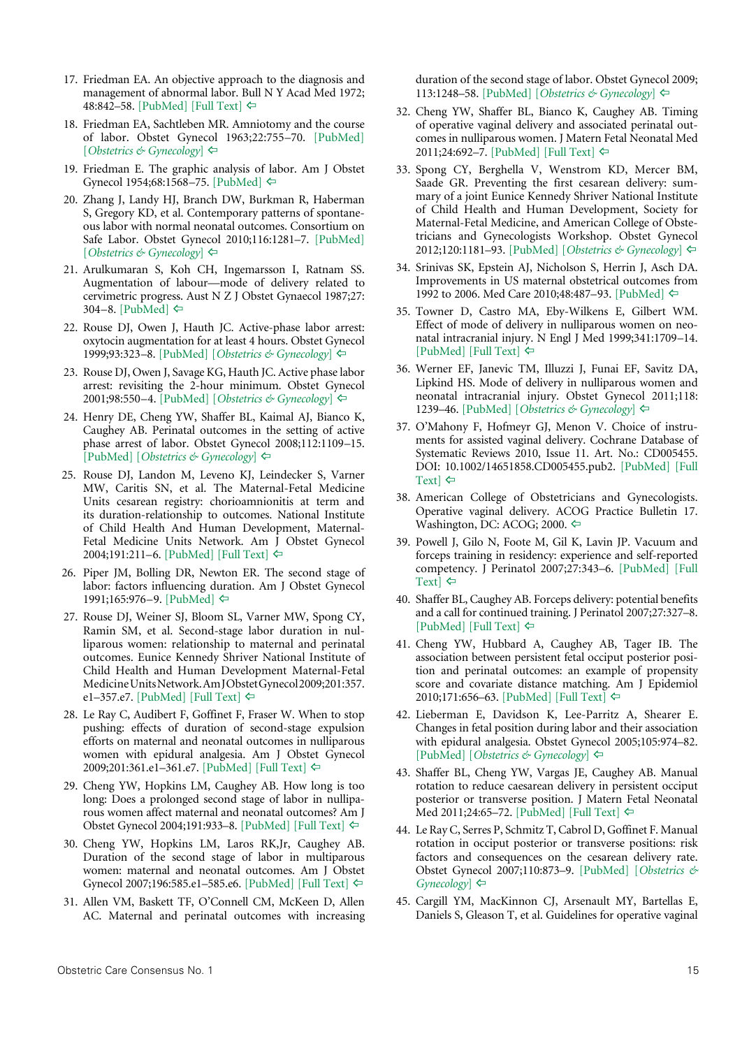- <span id="page-14-0"></span>17. Friedman EA. An objective approach to the diagnosis and management of abnormal labor. Bull N Y Acad Med 1972; 48:842–58. [\[PubMed\]](http://www.ncbi.nlm.nih.gov/pubmed/4504890) [\[Full Text\]](http://www.ncbi.nlm.nih.gov/pmc/articles/PMC1806752/pdf/bullnyacadmed00196-0040.pdf) ⇔
- <span id="page-14-1"></span>18. Friedman EA, Sachtleben MR. Amniotomy and the course of labor. Obstet Gynecol 1963;22:755–70. [\[PubMed\]](http://www.ncbi.nlm.nih.gov/pubmed/14103699) [*[Obstetrics & Gynecology](http://journals.lww.com/greenjournal/Citation/1963/12000/Amniotomy_and_the_Course_of_Labor.10.aspx)*] [^](#page-3-4)
- <span id="page-14-2"></span>19. Friedman E. The graphic analysis of labor. Am J Obstet Gynecol 1954;68:1568–75. [\[PubMed\]](http://www.ncbi.nlm.nih.gov/pubmed/13207246) [^](#page-4-3)
- <span id="page-14-3"></span>20. Zhang J, Landy HJ, Branch DW, Burkman R, Haberman S, Gregory KD, et al. Contemporary patterns of spontaneous labor with normal neonatal outcomes. Consortium on Safe Labor. Obstet Gynecol 2010;116:1281–7. [\[PubMed\]](http://www.ncbi.nlm.nih.gov/pubmed/21099592) [*[Obstetrics & Gynecology](http://journals.lww.com/greenjournal/Fulltext/2010/12000/Contemporary_Patterns_of_Spontaneous_Labor_With.8.aspx)*] [^](#page-4-4)
- <span id="page-14-4"></span>21. Arulkumaran S, Koh CH, Ingemarsson I, Ratnam SS. Augmentation of labour—mode of delivery related to cervimetric progress. Aust N Z J Obstet Gynaecol 1987;27: 304–8. [\[PubMed\]](http://www.ncbi.nlm.nih.gov/pubmed/3453667)  $\Leftrightarrow$
- <span id="page-14-6"></span>22. Rouse DJ, Owen J, Hauth JC. Active-phase labor arrest: oxytocin augmentation for at least 4 hours. Obstet Gynecol 1999;93:323–8. [\[PubMed\]](http://www.ncbi.nlm.nih.gov/pubmed/10074971) [*[Obstetrics & Gynecology](http://journals.lww.com/greenjournal/Fulltext/1999/03000/Active_Phase_Labor_Arrest__Oxytocin_Augmentation.1.aspx)*] [^](#page-7-2)
- <span id="page-14-7"></span>23. Rouse DJ, Owen J, Savage KG, Hauth JC. Active phase labor arrest: revisiting the 2-hour minimum. Obstet Gynecol 2001;98:550–4. [\[PubMed\] \[](http://www.ncbi.nlm.nih.gov/pubmed/11576566)*[Obstetrics & Gynecology](http://journals.lww.com/greenjournal/Fulltext/2001/10000/Active_Phase_Labor_Arrest__Revisiting_the_2_Hour.5.aspx)*] [^](#page-7-3)
- <span id="page-14-8"></span>24. Henry DE, Cheng YW, Shaffer BL, Kaimal AJ, Bianco K, Caughey AB. Perinatal outcomes in the setting of active phase arrest of labor. Obstet Gynecol 2008;112:1109–15. [\[PubMed\]](http://www.ncbi.nlm.nih.gov/pubmed/18978113) [*[Obstetrics & Gynecology](http://journals.lww.com/greenjournal/Fulltext/2008/11000/Perinatal_Outcomes_in_the_Setting_of_Active_Phase.21.aspx)*] [^](#page-7-4)
- <span id="page-14-5"></span> 25. Rouse DJ, Landon M, Leveno KJ, Leindecker S, Varner MW, Caritis SN, et al. The Maternal-Fetal Medicine Units cesarean registry: chorioamnionitis at term and its duration-relationship to outcomes. National Institute of Child Health And Human Development, Maternal-Fetal Medicine Units Network. Am J Obstet Gynecol 2004;191:211–6. [\[PubMed\]](http://www.ncbi.nlm.nih.gov/pubmed/15295368) [\[Full Text\]](http://www.sciencedirect.com/science/article/pii/S0002937804002327) ⇔
- <span id="page-14-11"></span> 26. Piper JM, Bolling DR, Newton ER. The second stage of labor: factors influencing duration. Am J Obstet Gynecol 1991;165:976–9. [\[PubMed\]](http://www.ncbi.nlm.nih.gov/pubmed/1951566) ⇔
- <span id="page-14-12"></span>27. Rouse DJ, Weiner SJ, Bloom SL, Varner MW, Spong CY, Ramin SM, et al. Second-stage labor duration in nulliparous women: relationship to maternal and perinatal outcomes. Eunice Kennedy Shriver National Institute of Child Health and Human Development Maternal-Fetal Medicine Units Network. Am J Obstet Gynecol 2009;201:357. e1-357.e7[. \[PubMed\]](http://www.ncbi.nlm.nih.gov/pubmed/19788967) [\[Full Text\]](http://www.ncbi.nlm.nih.gov/pmc/articles/PMC2768280/)  $\Leftrightarrow$
- <span id="page-14-13"></span>28. Le Ray C, Audibert F, Goffinet F, Fraser W. When to stop pushing: effects of duration of second-stage expulsion efforts on maternal and neonatal outcomes in nulliparous women with epidural analgesia. Am J Obstet Gynecol 2009;201:361.e1-361.e7. [\[PubMed\]](http://www.ncbi.nlm.nih.gov/pubmed/19788968) [\[Full Text\]](http://www.sciencedirect.com/science/article/pii/S0002937809009016) ⇔
- <span id="page-14-14"></span>29. Cheng YW, Hopkins LM, Caughey AB. How long is too long: Does a prolonged second stage of labor in nulliparous women affect maternal and neonatal outcomes? Am J Obstet Gynecol 2004;191:933–8. [\[PubMed\]](http://www.ncbi.nlm.nih.gov/pubmed/15467567) [\[Full Text\]](http://www.sciencedirect.com/science/article/pii/S0002937804005289) [^](#page-8-5)
- <span id="page-14-15"></span>30. Cheng YW, Hopkins LM, Laros RK,Jr, Caughey AB. Duration of the second stage of labor in multiparous women: maternal and neonatal outcomes. Am J Obstet Gynecol 2007;196:585.e1–585.e6. [\[PubMed\]](http://www.ncbi.nlm.nih.gov/pubmed/17547906) [\[Full Text\]](http://www.sciencedirect.com/science/article/pii/S0002937807003183) [^](#page-8-6)
- <span id="page-14-9"></span>31. Allen VM, Baskett TF, O'Connell CM, McKeen D, Allen AC. Maternal and perinatal outcomes with increasing

duration of the second stage of labor. Obstet Gynecol 2009; 113:1248–58. [\[PubMed\]](http://www.ncbi.nlm.nih.gov/pubmed/19461419) [*[Obstetrics & Gynecology](http://journals.lww.com/greenjournal/Fulltext/2009/06000/Maternal_and_Perinatal_Outcomes_With_Increasing.9.aspx)*] [^](#page-8-0)

- <span id="page-14-10"></span>32. Cheng YW, Shaffer BL, Bianco K, Caughey AB. Timing of operative vaginal delivery and associated perinatal outcomes in nulliparous women. J Matern Fetal Neonatal Med 2011;24:692–7. [\[PubMed\]](http://www.ncbi.nlm.nih.gov/pubmed/21401312) [\[Full Text\]](http://informahealthcare.com/doi/full/10.3109/14767058.2010.521872) ⇔
- <span id="page-14-20"></span>33. Spong CY, Berghella V, Wenstrom KD, Mercer BM, Saade GR. Preventing the first cesarean delivery: summary of a joint Eunice Kennedy Shriver National Institute of Child Health and Human Development, Society for Maternal-Fetal Medicine, and American College of Obstetricians and Gynecologists Workshop. Obstet Gynecol 2012;120:1181–93. [\[PubMed\]](http://www.ncbi.nlm.nih.gov/pubmed/23090537) [*[Obstetrics & Gynecology](http://journals.lww.com/greenjournal/Fulltext/2012/11000/Preventing_the_First_Cesarean_Delivery__Summary_of.26.aspx)*] [^](#page-9-0)
- <span id="page-14-21"></span>34. Srinivas SK, Epstein AJ, Nicholson S, Herrin J, Asch DA. Improvements in US maternal obstetrical outcomes from 1992 to 2006. Med Care 2010;48:487–93. [\[PubMed\]](http://www.ncbi.nlm.nih.gov/pubmed/20393363) [^](#page-9-1)
- <span id="page-14-22"></span>35. Towner D, Castro MA, Eby-Wilkens E, Gilbert WM. Effect of mode of delivery in nulliparous women on neonatal intracranial injury. N Engl J Med 1999;341:1709–14.  $[PubMed] [Full Text] \Leftrightarrow$  $[PubMed] [Full Text] \Leftrightarrow$  $[PubMed] [Full Text] \Leftrightarrow$  $[PubMed] [Full Text] \Leftrightarrow$
- <span id="page-14-23"></span>36. Werner EF, Janevic TM, Illuzzi J, Funai EF, Savitz DA, Lipkind HS. Mode of delivery in nulliparous women and neonatal intracranial injury. Obstet Gynecol 2011;118: 1239–46. [\[PubMed\]](http://www.ncbi.nlm.nih.gov/pubmed/22105252) [*[Obstetrics & Gynecology](http://journals.lww.com/greenjournal/Fulltext/2011/12000/Mode_of_Delivery_in_Nulliparous_Women_and_Neonatal.6.aspx)*] [^](#page-9-3)
- <span id="page-14-24"></span>37. O'Mahony F, Hofmeyr GJ, Menon V. Choice of instruments for assisted vaginal delivery. Cochrane Database of Systematic Reviews 2010, Issue 11. Art. No.: CD005455. DOI: 10.1002/14651858.CD005455.pub2. [\[PubMed\]](http://www.ncbi.nlm.nih.gov/pubmed/21069686) [\[Full](http://onlinelibrary.wiley.com/doi/10.1002/14651858.CD005455.pub2/full) [Text\]](http://onlinelibrary.wiley.com/doi/10.1002/14651858.CD005455.pub2/full)  $\Leftrightarrow$
- <span id="page-14-25"></span>38. American College of Obstetricians and Gynecologists. Operative vaginal delivery. ACOG Practice Bulletin 17. Washington, DC: ACOG; 2000. ⇔
- <span id="page-14-26"></span>39. Powell J, Gilo N, Foote M, Gil K, Lavin JP. Vacuum and forceps training in residency: experience and self-reported competency. J Perinatol 2007;27:343–6. [\[PubMed\]](http://www.ncbi.nlm.nih.gov/pubmed/17392838) [\[Full](http://www.nature.com/jp/journal/v27/n6/full/7211734a.html) [Text\]](http://www.nature.com/jp/journal/v27/n6/full/7211734a.html)  $\Leftrightarrow$
- <span id="page-14-16"></span>40. Shaffer BL, Caughey AB. Forceps delivery: potential benefits and a call for continued training. J Perinatol 2007;27:327–8. [\[PubMed\]](http://www.ncbi.nlm.nih.gov/pubmed/17522684) [\[Full Text\]](http://www.nature.com/jp/journal/v27/n6/full/7211735a.html)  $\Leftrightarrow$
- <span id="page-14-17"></span>41. Cheng YW, Hubbard A, Caughey AB, Tager IB. The association between persistent fetal occiput posterior position and perinatal outcomes: an example of propensity score and covariate distance matching. Am J Epidemiol 2010;171:656–63. [\[PubMed\]](http://www.ncbi.nlm.nih.gov/pubmed/20139128) [\[Full Text\]](http://aje.oxfordjournals.org/content/171/6/656.long) ⇔
- <span id="page-14-18"></span>42. Lieberman E, Davidson K, Lee-Parritz A, Shearer E. Changes in fetal position during labor and their association with epidural analgesia. Obstet Gynecol 2005;105:974–82. [\[PubMed\]](http://www.ncbi.nlm.nih.gov/pubmed/15863533) [*[Obstetrics & Gynecology](http://journals.lww.com/greenjournal/Fulltext/2005/05000/Changes_in_Fetal_Position_During_Labor_and_Their.10.aspx)*] [^](#page-9-8)
- <span id="page-14-19"></span>43. Shaffer BL, Cheng YW, Vargas JE, Caughey AB. Manual rotation to reduce caesarean delivery in persistent occiput posterior or transverse position. J Matern Fetal Neonatal Med 2011;24:65–72. [\[PubMed\]](http://www.ncbi.nlm.nih.gov/pubmed/20350240) [\[Full Text\]](http://informahealthcare.com/doi/full/10.3109/14767051003710276)  $\Leftrightarrow$
- 44. Le Ray C, Serres P, Schmitz T, Cabrol D, Goffinet F. Manual rotation in occiput posterior or transverse positions: risk factors and consequences on the cesarean delivery rate. Obstet Gynecol 2007;110:873–9. [\[PubMed\]](http://www.ncbi.nlm.nih.gov/pubmed/17906022) [*[Obstetrics &](http://journals.lww.com/greenjournal/Fulltext/2007/10000/Manual_Rotation_in_Occiput_Posterior_or_Transverse.22.aspx) [Gynecology](http://journals.lww.com/greenjournal/Fulltext/2007/10000/Manual_Rotation_in_Occiput_Posterior_or_Transverse.22.aspx)*] ⇔
- 45. Cargill YM, MacKinnon CJ, Arsenault MY, Bartellas E, Daniels S, Gleason T, et al. Guidelines for operative vaginal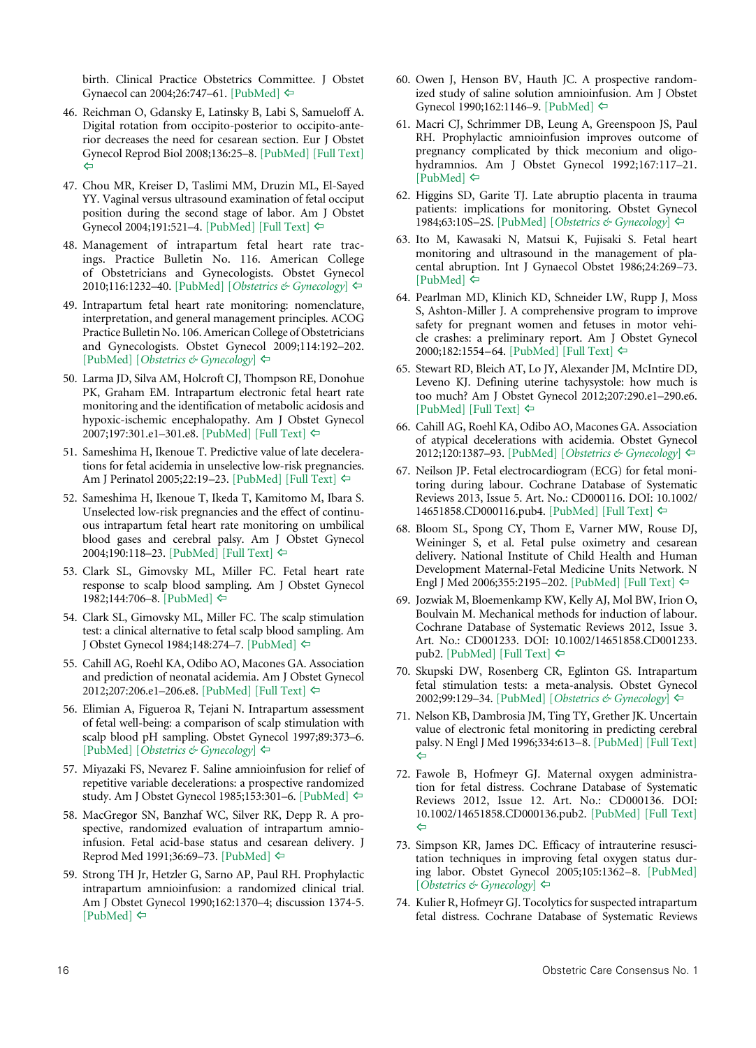birth. Clinical Practice Obstetrics Committee. J Obstet Gynaecol can 2004;26:747–61. [\[PubMed\]](http://www.ncbi.nlm.nih.gov/pubmed/15307980) [^](#page-9-9)

- <span id="page-15-0"></span>46. Reichman O, Gdansky E, Latinsky B, Labi S, Samueloff A. Digital rotation from occipito-posterior to occipito-anterior decreases the need for cesarean section. Eur J Obstet Gynecol Reprod Biol 2008;136:25–8. [\[PubMed\]](http://www.ncbi.nlm.nih.gov/pubmed/17368909) [\[Full Text\]](http://www.sciencedirect.com/science/article/pii/S0301211507000711)   $\Leftrightarrow$
- <span id="page-15-1"></span>47. Chou MR, Kreiser D, Taslimi MM, Druzin ML, El-Sayed YY. Vaginal versus ultrasound examination of fetal occiput position during the second stage of labor. Am J Obstet Gynecol 2004;191:521-4. [\[PubMed\]](http://www.ncbi.nlm.nih.gov/pubmed/15343230) [\[Full Text\]](http://www.sciencedirect.com/science/article/pii/S0002937804000766)  $\Leftrightarrow$
- <span id="page-15-15"></span>48. Management of intrapartum fetal heart rate tracings. Practice Bulletin No. 116. American College of Obstetricians and Gynecologists. Obstet Gynecol 2010;116:1232-40. [\[PubMed\]](http://www.ncbi.nlm.nih.gov/pubmed/20966730) [*[Obstetrics & Gynecology](http://journals.lww.com/greenjournal/Citation/2010/11000/Practice_Bulletin_No__116__Management_of.53.aspx)*] ⇔
- <span id="page-15-16"></span>49. Intrapartum fetal heart rate monitoring: nomenclature, interpretation, and general management principles. ACOG Practice Bulletin No. 106.American College of Obstetricians and Gynecologists. Obstet Gynecol 2009;114:192–202. [\[PubMed\]](http://www.ncbi.nlm.nih.gov/pubmed/19546798) [*[Obstetrics & Gynecology](http://journals.lww.com/greenjournal/Citation/2009/07000/ACOG_Practice_Bulletin_No__106__Intrapartum_Fetal.51.aspx)*] [^](#page-10-10)
- 50. Larma JD, Silva AM, Holcroft CJ, Thompson RE, Donohue PK, Graham EM. Intrapartum electronic fetal heart rate monitoring and the identification of metabolic acidosis and hypoxic-ischemic encephalopathy. Am J Obstet Gynecol 2007;197:301.e1–301.e8. [\[PubMed\]](http://www.ncbi.nlm.nih.gov/pubmed/17826429) [\[Full Text\]](http://www.sciencedirect.com/science/article/pii/S0002937807008290) [^](#page-10-10)
- 51. Sameshima H, Ikenoue T. Predictive value of late decelerations for fetal acidemia in unselective low-risk pregnancies. Am J Perinatol 2005;22:19–23. [\[PubMed\]](http://www.ncbi.nlm.nih.gov/pubmed/15668840) [\[Full Text\]](https://www.thieme-connect.com/ejournals/html/10.1055/s-2004-837272) ⇔
- 52. Sameshima H, Ikenoue T, Ikeda T, Kamitomo M, Ibara S. Unselected low-risk pregnancies and the effect of continuous intrapartum fetal heart rate monitoring on umbilical blood gases and cerebral palsy. Am J Obstet Gynecol 2004;190:118-23. [\[PubMed\]](http://www.ncbi.nlm.nih.gov/pubmed/14749646) [\[Full Text\]](http://www.sciencedirect.com/science/article/pii/S000293780300989X) ⇔
- <span id="page-15-17"></span>53. Clark SL, Gimovsky ML, Miller FC. Fetal heart rate response to scalp blood sampling. Am J Obstet Gynecol 1982;144:706–8. [\[PubMed\]](http://www.ncbi.nlm.nih.gov/pubmed/7137256) ⇔
- <span id="page-15-18"></span>54. Clark SL, Gimovsky ML, Miller FC. The scalp stimulation test: a clinical alternative to fetal scalp blood sampling. Am J Obstet Gynecol 1984;148:274–7. [\[PubMed\]](http://www.ncbi.nlm.nih.gov/pubmed/6695974) [^](#page-10-11)
- <span id="page-15-19"></span>55. Cahill AG, Roehl KA, Odibo AO, Macones GA. Association and prediction of neonatal acidemia. Am J Obstet Gynecol 2012;207:206.e1-206.e8. [\[PubMed\]](http://www.ncbi.nlm.nih.gov/pubmed/22939728) [\[Full Text\]](http://www.sciencedirect.com/science/article/pii/S0002937812006606)  $\models$
- <span id="page-15-20"></span>56. Elimian A, Figueroa R, Tejani N. Intrapartum assessment of fetal well-being: a comparison of scalp stimulation with scalp blood pH sampling. Obstet Gynecol 1997;89:373–6. [\[PubMed\]](http://www.ncbi.nlm.nih.gov/pubmed/9052588) [*[Obstetrics & Gynecology](http://journals.lww.com/greenjournal/Abstract/1997/03000/Intrapartum_Assessment_of_Fetal_Well_being__A.11.aspx)*] [^](#page-10-13)
- <span id="page-15-2"></span>57. Miyazaki FS, Nevarez F. Saline amnioinfusion for relief of repetitive variable decelerations: a prospective randomized study. Am J Obstet Gynecol 1985;153:301–6. [\[PubMed\]](http://www.ncbi.nlm.nih.gov/pubmed/4050895) ⇔
- 58. MacGregor SN, Banzhaf WC, Silver RK, Depp R. A prospective, randomized evaluation of intrapartum amnioinfusion. Fetal acid-base status and cesarean delivery. J Reprod Med 1991;36:69–73. [\[PubMed\]](http://www.ncbi.nlm.nih.gov/pubmed/2008006) [^](#page-10-14)
- 59. Strong TH Jr, Hetzler G, Sarno AP, Paul RH. Prophylactic intrapartum amnioinfusion: a randomized clinical trial. Am J Obstet Gynecol 1990;162:1370–4; discussion 1374-5.  $[PubMed] \Leftrightarrow$  $[PubMed] \Leftrightarrow$
- <span id="page-15-3"></span>60. Owen J, Henson BV, Hauth JC. A prospective randomized study of saline solution amnioinfusion. Am J Obstet Gynecol 1990;162:1146–9. [\[PubMed\]](http://www.ncbi.nlm.nih.gov/pubmed/2187344) [^](#page-10-0)
- 61. Macri CJ, Schrimmer DB, Leung A, Greenspoon JS, Paul RH. Prophylactic amnioinfusion improves outcome of pregnancy complicated by thick meconium and oligohydramnios. Am J Obstet Gynecol 1992;167:117–21.  $[PubMed] \Leftrightarrow$  $[PubMed] \Leftrightarrow$
- <span id="page-15-4"></span>62. Higgins SD, Garite TJ. Late abruptio placenta in trauma patients: implications for monitoring. Obstet Gynecol 1984;63:10S–2S. [\[PubMed\]](http://www.ncbi.nlm.nih.gov/pubmed/6700872) [*[Obstetrics & Gynecology](http://journals.lww.com/greenjournal/Abstract/1984/03001/Late_Abruptio_Placenta_in_Trauma_Patients_.3.aspx)*] [^](#page-10-1)
- 63. Ito M, Kawasaki N, Matsui K, Fujisaki S. Fetal heart monitoring and ultrasound in the management of placental abruption. Int J Gynaecol Obstet 1986;24:269–73. [\[PubMed\]](http://www.ncbi.nlm.nih.gov/pubmed/2878835)  $\Leftrightarrow$
- 64. Pearlman MD, Klinich KD, Schneider LW, Rupp J, Moss S, Ashton-Miller J. A comprehensive program to improve safety for pregnant women and fetuses in motor vehicle crashes: a preliminary report. Am J Obstet Gynecol 2000;182:1554–64. [\[PubMed\]](http://www.ncbi.nlm.nih.gov/pubmed/10871478) [\[Full Text\]](http://www.sciencedirect.com/science/article/pii/S0002937800031392) [^](#page-10-1)
- <span id="page-15-5"></span>65. Stewart RD, Bleich AT, Lo JY, Alexander JM, McIntire DD, Leveno KJ. Defining uterine tachysystole: how much is too much? Am J Obstet Gynecol 2012;207:290.e1–290.e6. [\[PubMed\]](http://www.ncbi.nlm.nih.gov/pubmed/22901710) [\[Full Text\]](http://www.sciencedirect.com/science/article/pii/S0002937812007843)  $\Leftrightarrow$
- <span id="page-15-6"></span>66. Cahill AG, Roehl KA, Odibo AO, Macones GA. Association of atypical decelerations with acidemia. Obstet Gynecol 2012;120:1387–93. [\[PubMed\]](http://www.ncbi.nlm.nih.gov/pubmed/23168764) [*[Obstetrics & Gynecology](http://journals.lww.com/greenjournal/Fulltext/2012/12000/Association_of_Atypical_Decelerations_With.19.aspx)*] [^](#page-10-3)
- <span id="page-15-7"></span>67. Neilson JP. Fetal electrocardiogram (ECG) for fetal monitoring during labour. Cochrane Database of Systematic Reviews 2013, Issue 5. Art. No.: CD000116. DOI: 10.1002/ 14651858.CD000116.pub4. [\[PubMed\]](http://www.ncbi.nlm.nih.gov/pubmed/23728630) [\[Full Text\]](http://onlinelibrary.wiley.com/doi/10.1002/14651858.CD000116.pub4/full) ⇔
- <span id="page-15-8"></span>68. Bloom SL, Spong CY, Thom E, Varner MW, Rouse DJ, Weininger S, et al. Fetal pulse oximetry and cesarean delivery. National Institute of Child Health and Human Development Maternal-Fetal Medicine Units Network. N Engl J Med 2006;355:2195–202. [\[PubMed\]](http://www.ncbi.nlm.nih.gov/pubmed/17124017) [\[Full Text\]](http://www.nejm.org/doi/full/10.1056/NEJMoa061170#t=article)  $\Leftrightarrow$
- <span id="page-15-9"></span>69. Jozwiak M, Bloemenkamp KW, Kelly AJ, Mol BW, Irion O, Boulvain M. Mechanical methods for induction of labour. Cochrane Database of Systematic Reviews 2012, Issue 3. Art. No.: CD001233. DOI: 10.1002/14651858.CD001233. pub2. [\[PubMed\]](http://www.ncbi.nlm.nih.gov/pubmed/22419277) [\[Full Text\]](http://onlinelibrary.wiley.com/doi/10.1002/14651858.CD001233.pub2/full) [^](#page-10-5)
- <span id="page-15-10"></span>70. Skupski DW, Rosenberg CR, Eglinton GS. Intrapartum fetal stimulation tests: a meta-analysis. Obstet Gynecol 2002;99:129–34. [\[PubMed\]](http://www.ncbi.nlm.nih.gov/pubmed/11777523) [*[Obstetrics & Gynecology](http://journals.lww.com/greenjournal/Fulltext/2002/01000/Intrapartum_Fetal_Stimulation_Tests__A.24.aspx)*] [^](#page-10-5)
- <span id="page-15-11"></span>71. Nelson KB, Dambrosia JM, Ting TY, Grether JK. Uncertain value of electronic fetal monitoring in predicting cerebral palsy. N Engl J Med 1996;334:613–8. [\[PubMed\]](http://www.ncbi.nlm.nih.gov/pubmed/8592523) [\[Full Text\]](http://www.nejm.org/doi/full/10.1056/NEJM199603073341001#t=article)  $\Leftarrow$
- <span id="page-15-12"></span>72. Fawole B, Hofmeyr GJ. Maternal oxygen administration for fetal distress. Cochrane Database of Systematic Reviews 2012, Issue 12. Art. No.: CD000136. DOI: 10.1002/14651858.CD000136.pub2. [\[PubMed\]](http://www.ncbi.nlm.nih.gov/pubmed/23235574) [\[Full Text\]](http://onlinelibrary.wiley.com/doi/10.1002/14651858.CD000136.pub2/full)   $\Leftrightarrow$
- <span id="page-15-13"></span>73. Simpson KR, James DC. Efficacy of intrauterine resuscitation techniques in improving fetal oxygen status during labor. Obstet Gynecol 2005;105:1362–8. [\[PubMed\]](http://www.ncbi.nlm.nih.gov/pubmed/15932830) [*[Obstetrics & Gynecology](http://journals.lww.com/greenjournal/Fulltext/2005/06000/Efficacy_of_Intrauterine_Resuscitation_Techniques.15.aspx)*] [^](#page-10-8)
- <span id="page-15-14"></span>74. Kulier R, Hofmeyr GJ. Tocolytics for suspected intrapartum fetal distress. Cochrane Database of Systematic Reviews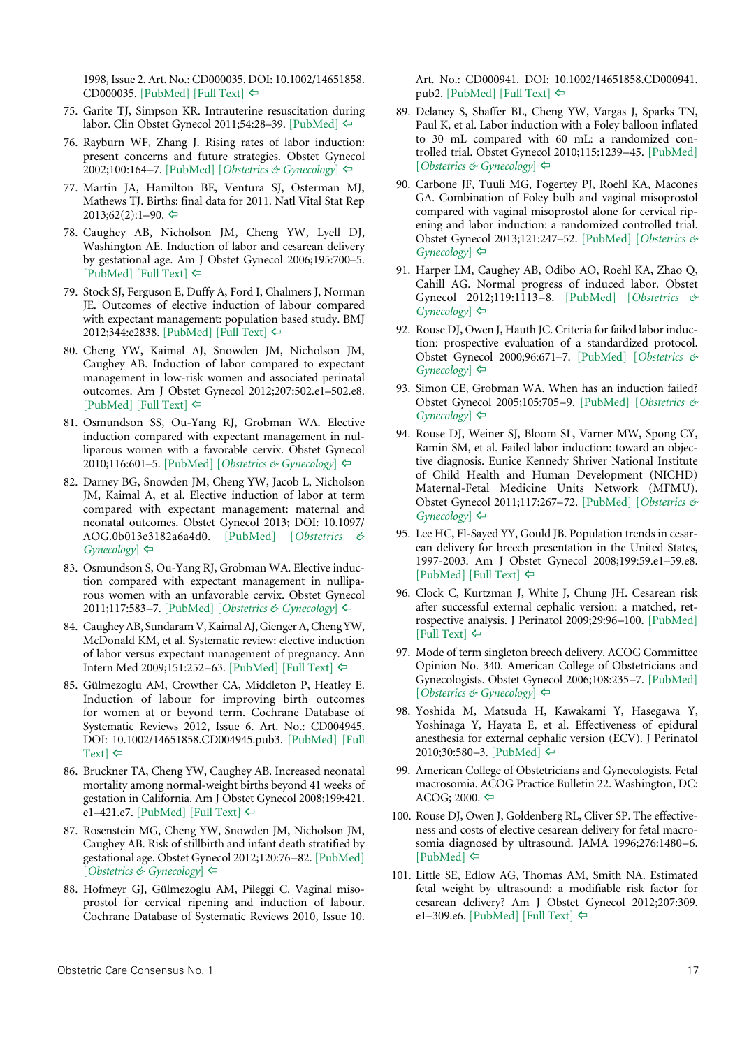1998, Issue 2. Art. No.: CD000035. DOI: 10.1002/14651858. CD000035. [\[PubMed\]](http://www.ncbi.nlm.nih.gov/pubmed/10796094) [\[Full Text\]](http://onlinelibrary.wiley.com/doi/10.1002/14651858.CD000035/full) [^](#page-10-15)

- <span id="page-16-0"></span>75. Garite TJ, Simpson KR. Intrauterine resuscitation during labor. Clin Obstet Gynecol 2011;54:28–39. [\[PubMed\]](http://www.ncbi.nlm.nih.gov/pubmed/21278499) [^](#page-10-16)
- <span id="page-16-6"></span>76. Rayburn WF, Zhang J. Rising rates of labor induction: present concerns and future strategies. Obstet Gynecol 2002;100:164–7. [\[PubMed\]](http://www.ncbi.nlm.nih.gov/pubmed/12100818) [*[Obstetrics & Gynecology](http://journals.lww.com/greenjournal/Fulltext/2002/07000/Rising_Rates_of_Labor_Induction__Present_Concerns.24.aspx)*] [^](#page-11-5)
- <span id="page-16-7"></span>77. Martin JA, Hamilton BE, Ventura SJ, Osterman MJ, Mathews TJ. Births: final data for 2011. Natl Vital Stat Rep  $2013;62(2):1-90. \Leftrightarrow$
- <span id="page-16-8"></span>78. Caughey AB, Nicholson JM, Cheng YW, Lyell DJ, Washington AE. Induction of labor and cesarean delivery by gestational age. Am J Obstet Gynecol 2006;195:700–5.  $[PubMed]$  [\[Full Text\]](http://www.sciencedirect.com/science/article/pii/S000293780600888X)  $\Leftrightarrow$
- <span id="page-16-9"></span>79. Stock SJ, Ferguson E, Duffy A, Ford I, Chalmers J, Norman JE. Outcomes of elective induction of labour compared with expectant management: population based study. BMJ 2012;344:e2838. [\[PubMed\]](http://www.ncbi.nlm.nih.gov/pubmed/22577197) [\[Full Text\]](http://www.ncbi.nlm.nih.gov/pmc/articles/PMC3349781/) [^](#page-11-7)
- 80. Cheng YW, Kaimal AJ, Snowden JM, Nicholson JM, Caughey AB. Induction of labor compared to expectant management in low-risk women and associated perinatal outcomes. Am J Obstet Gynecol 2012;207:502.e1–502.e8.  $[PubMed]$  [\[Full Text\]](http://www.ncbi.nlm.nih.gov/pmc/articles/PMC3719847/)  $\Leftrightarrow$
- 81. Osmundson SS, Ou-Yang RJ, Grobman WA. Elective induction compared with expectant management in nulliparous women with a favorable cervix. Obstet Gynecol 2010;116:601–5. [\[PubMed\]](http://www.ncbi.nlm.nih.gov/pubmed/20733441) [*[Obstetrics & Gynecology](http://journals.lww.com/greenjournal/Fulltext/2010/09000/Elective_Induction_Compared_With_Expectant.8.aspx)*] ⇔
- 82. Darney BG, Snowden JM, Cheng YW, Jacob L, Nicholson JM, Kaimal A, et al. Elective induction of labor at term compared with expectant management: maternal and neonatal outcomes. Obstet Gynecol 2013; DOI: 10.1097/ AOG.0b013e3182a6a4d0. [\[PubMed\]](http://www.ncbi.nlm.nih.gov/pubmed/24084532) [*[Obstetrics &](http://journals.lww.com/greenjournal/Fulltext/2013/10000/Elective_Induction_of_Labor_at_Term_Compared_With.6.aspx) [Gynecology](http://journals.lww.com/greenjournal/Fulltext/2013/10000/Elective_Induction_of_Labor_at_Term_Compared_With.6.aspx)*] [^](#page-11-7)
- <span id="page-16-10"></span>83. Osmundson S, Ou-Yang RJ, Grobman WA. Elective induction compared with expectant management in nulliparous women with an unfavorable cervix. Obstet Gynecol 2011;117:583–7. [\[PubMed\]](http://www.ncbi.nlm.nih.gov/pubmed/21343761) [*[Obstetrics & Gynecology](http://journals.lww.com/greenjournal/Fulltext/2011/03000/Elective_Induction_Compared_With_Expectant.10.aspx)*] [^](#page-11-8)
- <span id="page-16-11"></span>84. Caughey AB, Sundaram V, Kaimal AJ, Gienger A, Cheng YW, McDonald KM, et al. Systematic review: elective induction of labor versus expectant management of pregnancy. Ann Intern Med 2009;151:252–63. [\[PubMed\]](http://www.ncbi.nlm.nih.gov/pubmed/19687492) [\[Full Text\]](http://annals.org/article.aspx?articleid=744663) [^](#page-11-9)
- <span id="page-16-12"></span>85. Gülmezoglu AM, Crowther CA, Middleton P, Heatley E. Induction of labour for improving birth outcomes for women at or beyond term. Cochrane Database of Systematic Reviews 2012, Issue 6. Art. No.: CD004945. DOI: 10.1002/14651858.CD004945.pub3. [\[PubMed\]](http://www.ncbi.nlm.nih.gov/pubmed/22696345) [\[Full](http://onlinelibrary.wiley.com/doi/10.1002/14651858.CD004945.pub3/full) [Text\]](http://onlinelibrary.wiley.com/doi/10.1002/14651858.CD004945.pub3/full)  $\Leftrightarrow$
- <span id="page-16-13"></span>86. Bruckner TA, Cheng YW, Caughey AB. Increased neonatal mortality among normal-weight births beyond 41 weeks of gestation in California. Am J Obstet Gynecol 2008;199:421. e1-421.e7. [\[PubMed\]](http://www.ncbi.nlm.nih.gov/pubmed/18639211) [\[Full Text\]](http://www.sciencedirect.com/science/article/pii/S0002937808005589)  $\Leftrightarrow$
- <span id="page-16-14"></span>87. Rosenstein MG, Cheng YW, Snowden JM, Nicholson JM, Caughey AB. Risk of stillbirth and infant death stratified by gestational age. Obstet Gynecol 2012;120:76–82. [\[PubMed\]](http://www.ncbi.nlm.nih.gov/pubmed/22914394) [*[Obstetrics & Gynecology](http://journals.lww.com/greenjournal/Fulltext/2012/07000/Risk_of_Stillbirth_and_Infant_Death_Stratified_by.14.aspx)*] [^](#page-11-11)
- <span id="page-16-1"></span>88. Hofmeyr GJ, Gülmezoglu AM, Pileggi C. Vaginal misoprostol for cervical ripening and induction of labour. Cochrane Database of Systematic Reviews 2010, Issue 10.

Art. No.: CD000941. DOI: 10.1002/14651858.CD000941. pub2. [\[PubMed\]](http://www.ncbi.nlm.nih.gov/pubmed/20927722) [\[Full Text\]](http://onlinelibrary.wiley.com/doi/10.1002/14651858.CD000941.pub2/full) ⇔

- <span id="page-16-2"></span>89. Delaney S, Shaffer BL, Cheng YW, Vargas J, Sparks TN, Paul K, et al. Labor induction with a Foley balloon inflated to 30 mL compared with 60 mL: a randomized controlled trial. Obstet Gynecol 2010;115:1239–45. [\[PubMed\]](http://www.ncbi.nlm.nih.gov/pubmed/20502296) [*[Obstetrics & Gynecology](http://journals.lww.com/greenjournal/Fulltext/2010/06000/Labor_Induction_With_a_Foley_Balloon_Inflated_to.21.aspx)*] [^](#page-11-1)
- <span id="page-16-3"></span>90. Carbone JF, Tuuli MG, Fogertey PJ, Roehl KA, Macones GA. Combination of Foley bulb and vaginal misoprostol compared with vaginal misoprostol alone for cervical ripening and labor induction: a randomized controlled trial. Obstet Gynecol 2013;121:247–52. [\[PubMed\]](http://www.ncbi.nlm.nih.gov/pubmed/23303106) [*[Obstetrics &](http://journals.lww.com/greenjournal/Fulltext/2013/02000/Combination_of_Foley_Bulb_and_Vaginal_Misoprostol.6.aspx) [Gynecology](http://journals.lww.com/greenjournal/Fulltext/2013/02000/Combination_of_Foley_Bulb_and_Vaginal_Misoprostol.6.aspx)* ←
- <span id="page-16-4"></span>91. Harper LM, Caughey AB, Odibo AO, Roehl KA, Zhao Q, Cahill AG. Normal progress of induced labor. Obstet Gynecol 2012;119:1113–8. [\[PubMed\]](http://www.ncbi.nlm.nih.gov/pubmed/22569121) [*[Obstetrics &](http://journals.lww.com/greenjournal/Fulltext/2012/06000/Normal_Progress_of_Induced_Labor.7.aspx) [Gynecology](http://journals.lww.com/greenjournal/Fulltext/2012/06000/Normal_Progress_of_Induced_Labor.7.aspx)*] ⇔
- <span id="page-16-5"></span>92. Rouse DJ, Owen J, Hauth JC. Criteria for failed labor induction: prospective evaluation of a standardized protocol. Obstet Gynecol 2000;96:671–7. [\[PubMed\]](http://www.ncbi.nlm.nih.gov/pubmed/11042299) [*[Obstetrics &](http://journals.lww.com/greenjournal/Fulltext/2000/11000/Criteria_for_Failed_Labor_Induction__Prospective.6.aspx) [Gynecology](http://journals.lww.com/greenjournal/Fulltext/2000/11000/Criteria_for_Failed_Labor_Induction__Prospective.6.aspx)*] ⇔
- 93. Simon CE, Grobman WA. When has an induction failed? Obstet Gynecol 2005;105:705–9. [\[PubMed\]](http://www.ncbi.nlm.nih.gov/pubmed/15802394) [*[Obstetrics &](http://journals.lww.com/greenjournal/Fulltext/2005/04000/When_Has_an_Induction_Failed_.5.aspx) [Gynecology](http://journals.lww.com/greenjournal/Fulltext/2005/04000/When_Has_an_Induction_Failed_.5.aspx)* ←
- 94. Rouse DJ, Weiner SJ, Bloom SL, Varner MW, Spong CY, Ramin SM, et al. Failed labor induction: toward an objective diagnosis. Eunice Kennedy Shriver National Institute of Child Health and Human Development (NICHD) Maternal-Fetal Medicine Units Network (MFMU). Obstet Gynecol 2011;117:267–72. [\[PubMed\]](http://www.ncbi.nlm.nih.gov/pubmed/21252738) [*[Obstetrics &](http://journals.lww.com/greenjournal/Fulltext/2011/02000/Failed_Labor_Induction__Toward_an_Objective.10.aspx) [Gynecology](http://journals.lww.com/greenjournal/Fulltext/2011/02000/Failed_Labor_Induction__Toward_an_Objective.10.aspx)*] ⇔
- <span id="page-16-15"></span>95. Lee HC, El-Sayed YY, Gould JB. Population trends in cesarean delivery for breech presentation in the United States, 1997-2003. Am J Obstet Gynecol 2008;199:59.e1–59.e8.  $[PubMed]$   $[Full Text] \Leftrightarrow$  $[Full Text] \Leftrightarrow$
- <span id="page-16-16"></span>96. Clock C, Kurtzman J, White J, Chung JH. Cesarean risk after successful external cephalic version: a matched, retrospective analysis. J Perinatol 2009;29:96–100. [\[PubMed\]](http://www.ncbi.nlm.nih.gov/pubmed/19129796)  $[Full Text] \Leftrightarrow$  $[Full Text] \Leftrightarrow$
- <span id="page-16-17"></span>97. Mode of term singleton breech delivery. ACOG Committee Opinion No. 340. American College of Obstetricians and Gynecologists. Obstet Gynecol 2006;108:235–7. [\[PubMed\]](http://www.ncbi.nlm.nih.gov/pubmed/16816088) [*[Obstetrics & Gynecology](http://journals.lww.com/greenjournal/Citation/2006/07000/ACOG_Committee_Opinion_No__340__Mode_of_Term.58.aspx)*] [^](#page-12-2)
- <span id="page-16-18"></span>98. Yoshida M, Matsuda H, Kawakami Y, Hasegawa Y, Yoshinaga Y, Hayata E, et al. Effectiveness of epidural anesthesia for external cephalic version (ECV). J Perinatol 2010;30:580–3. [\[PubMed\]](http://www.ncbi.nlm.nih.gov/pubmed/20485361) [^](#page-12-3)
- <span id="page-16-19"></span>99. American College of Obstetricians and Gynecologists. Fetal macrosomia. ACOG Practice Bulletin 22. Washington, DC:  $ACOG$ ; 2000.
- <span id="page-16-20"></span>100. Rouse DJ, Owen J, Goldenberg RL, Cliver SP. The effectiveness and costs of elective cesarean delivery for fetal macrosomia diagnosed by ultrasound. JAMA 1996;276:1480–6. [\[PubMed\]](http://www.ncbi.nlm.nih.gov/pubmed/8903259)  $\Leftrightarrow$
- <span id="page-16-21"></span>101. Little SE, Edlow AG, Thomas AM, Smith NA. Estimated fetal weight by ultrasound: a modifiable risk factor for cesarean delivery? Am J Obstet Gynecol 2012;207:309. e1-309.e6. [\[PubMed\]](http://www.ncbi.nlm.nih.gov/pubmed/22902073) [\[Full Text\]](http://www.sciencedirect.com/science/article/pii/S0002937812007193) ⇔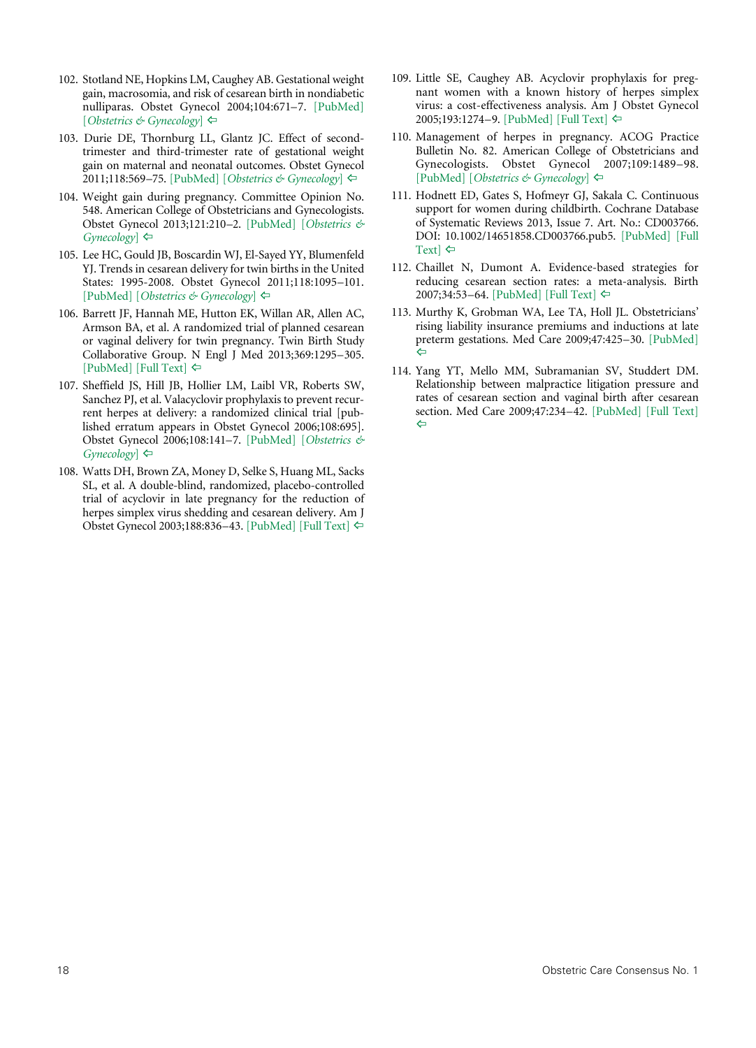- <span id="page-17-8"></span>102. Stotland NE, Hopkins LM, Caughey AB. Gestational weight gain, macrosomia, and risk of cesarean birth in nondiabetic nulliparas. Obstet Gynecol 2004;104:671–7. [\[PubMed\]](http://www.ncbi.nlm.nih.gov/pubmed/15458884) [*[Obstetrics & Gynecology](http://journals.lww.com/greenjournal/Fulltext/2004/10000/Gestational_Weight_Gain,_Macrosomia,_and_Risk_of.5.aspx)*] [^](#page-12-7)
- <span id="page-17-9"></span>103. Durie DE, Thornburg LL, Glantz JC. Effect of secondtrimester and third-trimester rate of gestational weight gain on maternal and neonatal outcomes. Obstet Gynecol 2011;118:569–75. [\[PubMed\]](http://www.ncbi.nlm.nih.gov/pubmed/21860285) [*[Obstetrics & Gynecology](http://journals.lww.com/greenjournal/Fulltext/2011/09000/Effect_of_Second_Trimester_and_Third_Trimester.11.aspx)*] [^](#page-12-8)
- <span id="page-17-0"></span>104. Weight gain during pregnancy. Committee Opinion No. 548. American College of Obstetricians and Gynecologists. Obstet Gynecol 2013;121:210–2. [\[PubMed\]](http://www.ncbi.nlm.nih.gov/pubmed/23262962) [*[Obstetrics &](http://journals.lww.com/greenjournal/Fulltext/2013/01000/Committee_Opinion_No__548___Weight_Gain_During.47.aspx)  [Gynecology](http://journals.lww.com/greenjournal/Fulltext/2013/01000/Committee_Opinion_No__548___Weight_Gain_During.47.aspx)*] ⇔
- <span id="page-17-1"></span>105. Lee HC, Gould JB, Boscardin WJ, El-Sayed YY, Blumenfeld YJ. Trends in cesarean delivery for twin births in the United States: 1995-2008. Obstet Gynecol 2011;118:1095–101. [\[PubMed\]](http://www.ncbi.nlm.nih.gov/pubmed/22015878) [*[Obstetrics & Gynecology](http://journals.lww.com/greenjournal/Fulltext/2011/11000/Trends_in_Cesarean_Delivery_for_Twin_Births_in_the.18.aspx)*] [^](#page-12-10)
- <span id="page-17-2"></span>106. Barrett JF, Hannah ME, Hutton EK, Willan AR, Allen AC, Armson BA, et al. A randomized trial of planned cesarean or vaginal delivery for twin pregnancy. Twin Birth Study Collaborative Group. N Engl J Med 2013;369:1295–305. [\[PubMed\]](http://www.ncbi.nlm.nih.gov/pubmed/24088091) [\[Full Text\]](http://www.nejm.org/doi/full/10.1056/NEJMoa1214939#t=article)  $\Leftrightarrow$
- <span id="page-17-3"></span>107. Sheffield JS, Hill JB, Hollier LM, Laibl VR, Roberts SW, Sanchez PJ, et al. Valacyclovir prophylaxis to prevent recurrent herpes at delivery: a randomized clinical trial [published erratum appears in Obstet Gynecol 2006;108:695]. Obstet Gynecol 2006;108:141–7. [\[PubMed\]](http://www.ncbi.nlm.nih.gov/pubmed/16816068) [*[Obstetrics &](http://journals.lww.com/greenjournal/Fulltext/2006/07000/Valacyclovir_Prophylaxis_to_Prevent_Recurrent.23.aspx)  [Gynecology](http://journals.lww.com/greenjournal/Fulltext/2006/07000/Valacyclovir_Prophylaxis_to_Prevent_Recurrent.23.aspx)*] ⇔
- <span id="page-17-4"></span>108. Watts DH, Brown ZA, Money D, Selke S, Huang ML, Sacks SL, et al. A double-blind, randomized, placebo-controlled trial of acyclovir in late pregnancy for the reduction of herpes simplex virus shedding and cesarean delivery. Am J Obstet Gynecol 2003;188:836–43. [\[PubMed\]](http://www.ncbi.nlm.nih.gov/pubmed/12634667) [\[Full Text\]](http://www.sciencedirect.com/science/article/pii/S0002937802713264) [^](#page-12-12)
- <span id="page-17-5"></span>109. Little SE, Caughey AB. Acyclovir prophylaxis for pregnant women with a known history of herpes simplex virus: a cost-effectiveness analysis. Am J Obstet Gynecol 2005;193:1274-9[. \[PubMed\]](http://www.ncbi.nlm.nih.gov/pubmed/16157151) [\[Full Text\]](http://www.sciencedirect.com/science/article/pii/S0002937805007210) ⇔
- <span id="page-17-6"></span>110. Management of herpes in pregnancy. ACOG Practice Bulletin No. 82. American College of Obstetricians and Gynecologists. Obstet Gynecol 2007;109:1489–98. [\[PubMed\]](http://www.ncbi.nlm.nih.gov/pubmed/17569194) [*[Obstetrics & Gynecology](http://journals.lww.com/greenjournal/Citation/2007/06000/ACOG_Practice_Bulletin_No__82__Management_of.50.aspx)*] [^](#page-12-14)
- <span id="page-17-7"></span>111. Hodnett ED, Gates S, Hofmeyr GJ, Sakala C. Continuous support for women during childbirth. Cochrane Database of Systematic Reviews 2013, Issue 7. Art. No.: CD003766. DOI: 10.1002/14651858.CD003766.pub5. [\[PubMed\]](http://www.ncbi.nlm.nih.gov/pubmed/23857334) [\[Full](http://onlinelibrary.wiley.com/doi/10.1002/14651858.CD003766.pub5/full)  [Text\]](http://onlinelibrary.wiley.com/doi/10.1002/14651858.CD003766.pub5/full)  $\Leftrightarrow$
- <span id="page-17-10"></span>112. Chaillet N, Dumont A. Evidence-based strategies for reducing cesarean section rates: a meta-analysis. Birth 2007;34:53–64[. \[PubMed\]](http://www.ncbi.nlm.nih.gov/pubmed/17324180) [\[Full Text\]](http://onlinelibrary.wiley.com/doi/10.1111/j.1523-536X.2006.00146.x/full) ⇔
- <span id="page-17-11"></span>113. Murthy K, Grobman WA, Lee TA, Holl JL. Obstetricians' rising liability insurance premiums and inductions at late preterm gestations. Med Care 2009;47:425–30. [\[PubMed\]](http://www.ncbi.nlm.nih.gov/pubmed/19238104)   $\Leftarrow$
- <span id="page-17-12"></span>114. Yang YT, Mello MM, Subramanian SV, Studdert DM. Relationship between malpractice litigation pressure and rates of cesarean section and vaginal birth after cesarean section. Med Care 2009;47:234–42. [\[PubMed\]](http://www.ncbi.nlm.nih.gov/pubmed/19169125) [\[Full Text\]](http://www.ncbi.nlm.nih.gov/pmc/articles/PMC3096673/)   $\leftarrow$